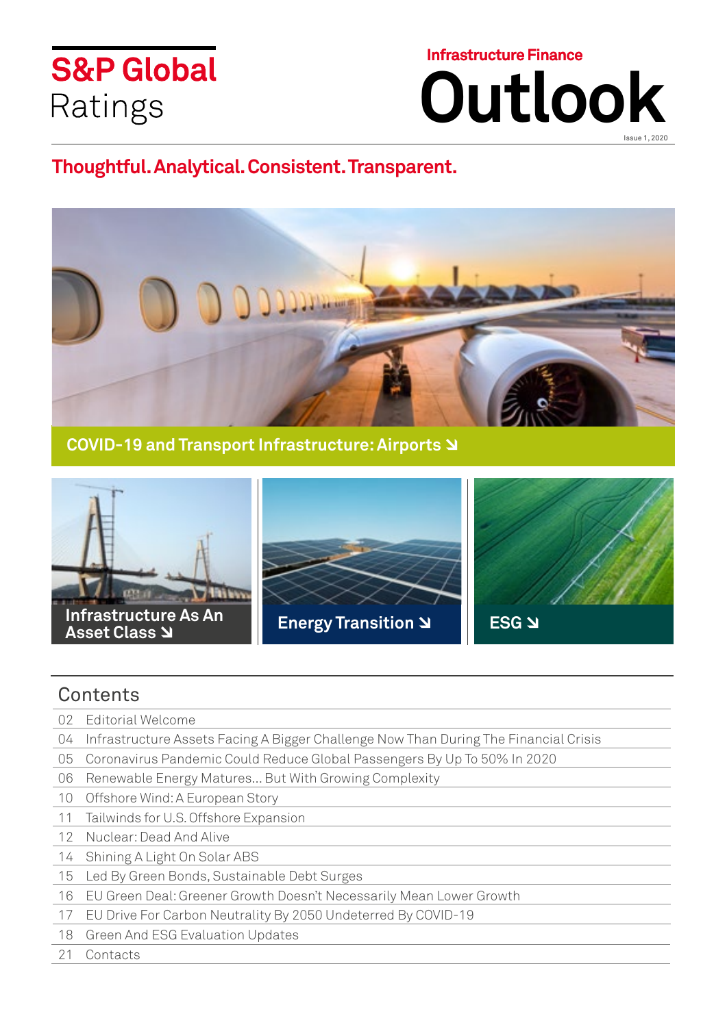# **S&P Global** Ratings

**Infrastructure Finance**

**Outlook**

Issue 1, 2020

## **Thoughtful. Analytical. Consistent. Transparent.**



**COVID-19 and Transport Infrastructure: Airports** 



## **Contents**

- 02 Editorial Welcome
- 04 Infrastructure Assets Facing A Bigger Challenge Now Than During The Financial Crisis
- 05 Coronavirus Pandemic Could Reduce Global Passengers By Up To 50% In 2020
- 06 Renewable Energy Matures... But With Growing Complexity
- 10 Offshore Wind: A European Story
- 11 Tailwinds for U.S. Offshore Expansion
- 12 Nuclear: Dead And Alive
- 14 Shining A Light On Solar ABS
- 15 Led By Green Bonds, Sustainable Debt Surges
- 16 EU Green Deal: Greener Growth Doesn't Necessarily Mean Lower Growth
- 17 EU Drive For Carbon Neutrality By 2050 Undeterred By COVID-19
- 18 Green And ESG Evaluation Updates
- 21 Contacts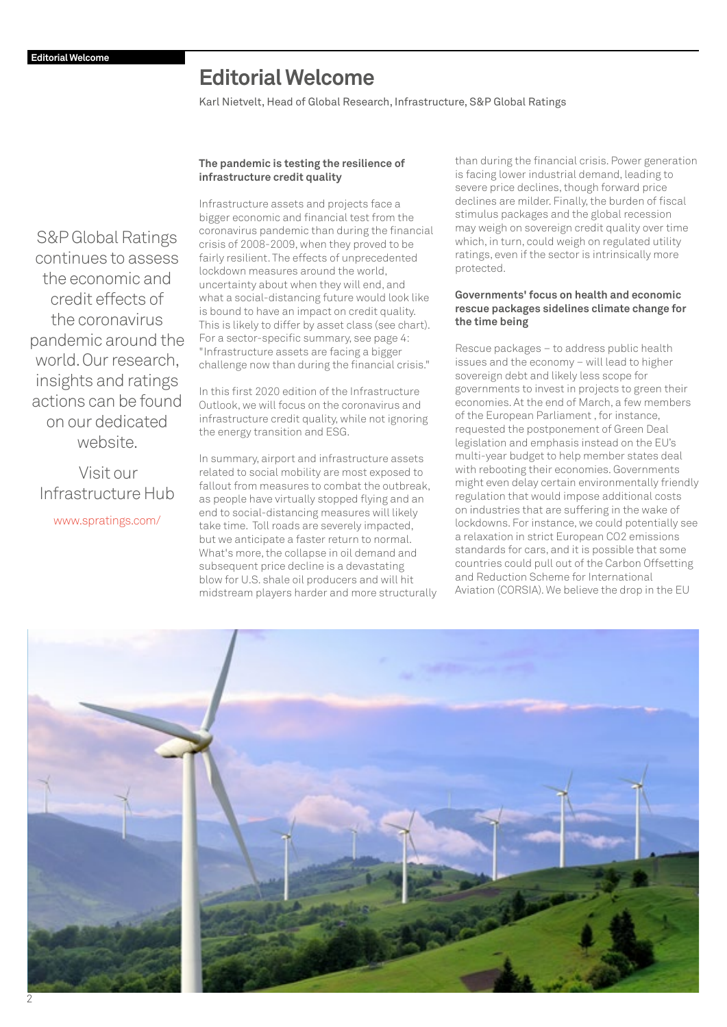## **Editorial Welcome**

Karl Nietvelt, Head of Global Research, Infrastructure, S&P Global Ratings

### **The pandemic is testing the resilience of infrastructure credit quality**

Infrastructure assets and projects face a bigger economic and financial test from the coronavirus pandemic than during the financial crisis of 2008-2009, when they proved to be fairly resilient. The effects of unprecedented lockdown measures around the world, uncertainty about when they will end, and what a social-distancing future would look like is bound to have an impact on credit quality. This is likely to differ by asset class (see chart). For a sector-specific summary, see page 4: "Infrastructure assets are facing a bigger challenge now than during the financial crisis."

In this first 2020 edition of the Infrastructure Outlook, we will focus on the coronavirus and infrastructure credit quality, while not ignoring the energy transition and ESG.

In summary, airport and infrastructure assets related to social mobility are most exposed to fallout from measures to combat the outbreak, as people have virtually stopped flying and an end to social-distancing measures will likely take time. Toll roads are severely impacted, but we anticipate a faster return to normal. What's more, the collapse in oil demand and subsequent price decline is a devastating blow for U.S. shale oil producers and will hit midstream players harder and more structurally than during the financial crisis. Power generation is facing lower industrial demand, leading to severe price declines, though forward price declines are milder. Finally, the burden of fiscal stimulus packages and the global recession may weigh on sovereign credit quality over time which, in turn, could weigh on regulated utility ratings, even if the sector is intrinsically more protected.

### **Governments' focus on health and economic rescue packages sidelines climate change for the time being**

Rescue packages – to address public health issues and the economy – will lead to higher sovereign debt and likely less scope for governments to invest in projects to green their economies. At the end of March, a few members of the European Parliament , for instance, requested the postponement of Green Deal legislation and emphasis instead on the EU's multi-year budget to help member states deal with rebooting their economies. Governments might even delay certain environmentally friendly regulation that would impose additional costs on industries that are suffering in the wake of lockdowns. For instance, we could potentially see a relaxation in strict European CO2 emissions standards for cars, and it is possible that some countries could pull out of the Carbon Offsetting and Reduction Scheme for International Aviation (CORSIA). We believe the drop in the EU



S&P Global Ratings continues to assess the economic and credit effects of the coronavirus [pandemic around the](http://www.spratings.com/en_US/infrastructure
)  world. Our research, insights and ratings actions can be found on our dedicated website.

Visit our Infrastructure Hub www.spratings.com/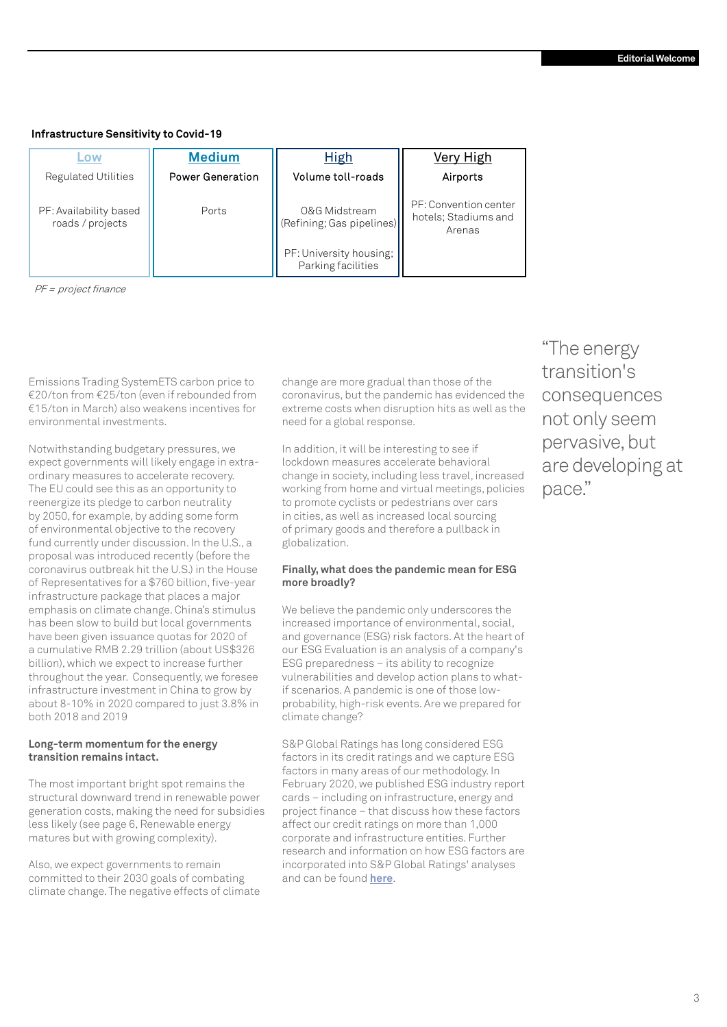### **Infrastructure Sensitivity to Covid-19**

| <b>OW</b>                                  | <b>Medium</b>           | <b>High</b>                                   | Very High                                               |  |
|--------------------------------------------|-------------------------|-----------------------------------------------|---------------------------------------------------------|--|
| <b>Regulated Utilities</b>                 | <b>Power Generation</b> | Volume toll-roads                             | Airports                                                |  |
| PF: Availability based<br>roads / projects | Ports                   | 0&G Midstream<br>(Refining; Gas pipelines)    | PF: Convention center<br>hotels; Stadiums and<br>Arenas |  |
|                                            |                         | PF: University housing;<br>Parking facilities |                                                         |  |

PF = project finance

Emissions Trading SystemETS carbon price to €20/ton from €25/ton (even if rebounded from €15/ton in March) also weakens incentives for environmental investments.

Notwithstanding budgetary pressures, we expect governments will likely engage in extraordinary measures to accelerate recovery. The EU could see this as an opportunity to reenergize its pledge to carbon neutrality by 2050, for example, by adding some form of environmental objective to the recovery fund currently under discussion. In the U.S., a proposal was introduced recently (before the coronavirus outbreak hit the U.S.) in the House of Representatives for a \$760 billion, five-year infrastructure package that places a major emphasis on climate change. China's stimulus has been slow to build but local governments have been given issuance quotas for 2020 of a cumulative RMB 2.29 trillion (about US\$326 billion), which we expect to increase further throughout the year. Consequently, we foresee infrastructure investment in China to grow by about 8-10% in 2020 compared to just 3.8% in both 2018 and 2019

### **Long-term momentum for the energy transition remains intact.**

The most important bright spot remains the structural downward trend in renewable power generation costs, making the need for subsidies less likely (see page 6, Renewable energy matures but with growing complexity).

Also, we expect governments to remain committed to their 2030 goals of combating climate change. The negative effects of climate

change are more gradual than those of the coronavirus, but the pandemic has evidenced the extreme costs when disruption hits as well as the need for a global response.

In addition, it will be interesting to see if lockdown measures accelerate behavioral change in society, including less travel, increased working from home and virtual meetings, policies to promote cyclists or pedestrians over cars in cities, as well as increased local sourcing of primary goods and therefore a pullback in globalization.

### **Finally, what does the pandemic mean for ESG more broadly?**

We believe the pandemic only underscores the increased importance of environmental, social, and governance (ESG) risk factors. At the heart of our ESG Evaluation is an analysis of a company's ESG preparedness – its ability to recognize vulnerabilities and develop action plans to whatif scenarios. A pandemic is one of those lowprobability, high-risk events. Are we prepared for climate change?

S&P Global Ratings has long considered ESG factors in its credit ratings and we capture ESG factors in many areas of our methodology. In February 2020, we published ESG industry report cards – including on infrastructure, energy and project finance – that discuss how these factors affect our credit ratings on more than 1,000 corporate and infrastructure entities. Further research and information on how ESG factors are incorporated into S&P Global Ratings' analyses and can be found **[here](https://www.spglobal.com/ratings/en/products-benefits/products/esg-in-credit-ratings#sector-report-cards)**.

"The energy transition's consequences not only seem pervasive, but are developing at pace."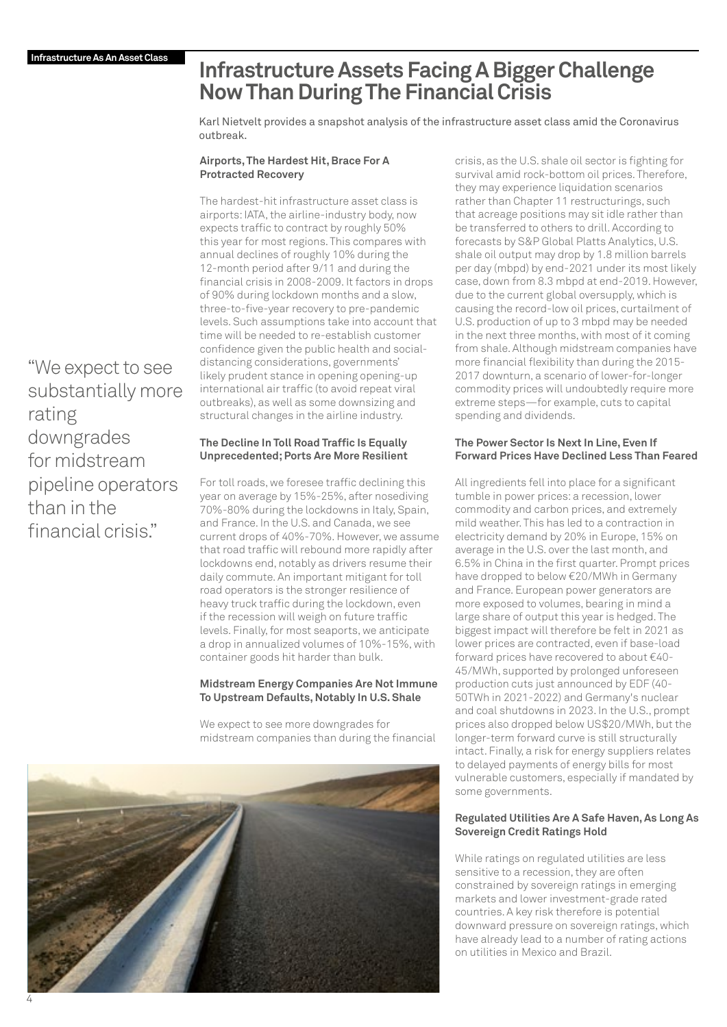## **Infrastructure Assets Facing A Bigger Challenge Now Than During The Financial Crisis**

Karl Nietvelt provides a snapshot analysis of the infrastructure asset class amid the Coronavirus outbreak.

### **Airports, The Hardest Hit, Brace For A Protracted Recovery**

The hardest-hit infrastructure asset class is airports: IATA, the airline-industry body, now expects traffic to contract by roughly 50% this year for most regions. This compares with annual declines of roughly 10% during the 12-month period after 9/11 and during the financial crisis in 2008-2009. It factors in drops of 90% during lockdown months and a slow, three-to-five-year recovery to pre-pandemic levels. Such assumptions take into account that time will be needed to re-establish customer confidence given the public health and socialdistancing considerations, governments' likely prudent stance in opening opening-up international air traffic (to avoid repeat viral outbreaks), as well as some downsizing and structural changes in the airline industry.

### **The Decline In Toll Road Traffic Is Equally Unprecedented; Ports Are More Resilient**

For toll roads, we foresee traffic declining this year on average by 15%-25%, after nosediving 70%-80% during the lockdowns in Italy, Spain, and France. In the U.S. and Canada, we see current drops of 40%-70%. However, we assume that road traffic will rebound more rapidly after lockdowns end, notably as drivers resume their daily commute. An important mitigant for toll road operators is the stronger resilience of heavy truck traffic during the lockdown, even if the recession will weigh on future traffic levels. Finally, for most seaports, we anticipate a drop in annualized volumes of 10%-15%, with container goods hit harder than bulk.

### **Midstream Energy Companies Are Not Immune To Upstream Defaults, Notably In U.S. Shale**

We expect to see more downgrades for midstream companies than during the financial



crisis, as the U.S. shale oil sector is fighting for survival amid rock-bottom oil prices. Therefore, they may experience liquidation scenarios rather than Chapter 11 restructurings, such that acreage positions may sit idle rather than be transferred to others to drill. According to forecasts by S&P Global Platts Analytics, U.S. shale oil output may drop by 1.8 million barrels per day (mbpd) by end-2021 under its most likely case, down from 8.3 mbpd at end-2019. However, due to the current global oversupply, which is causing the record-low oil prices, curtailment of U.S. production of up to 3 mbpd may be needed in the next three months, with most of it coming from shale. Although midstream companies have more financial flexibility than during the 2015- 2017 downturn, a scenario of lower-for-longer commodity prices will undoubtedly require more extreme steps—for example, cuts to capital spending and dividends.

### **The Power Sector Is Next In Line, Even If Forward Prices Have Declined Less Than Feared**

All ingredients fell into place for a significant tumble in power prices: a recession, lower commodity and carbon prices, and extremely mild weather. This has led to a contraction in electricity demand by 20% in Europe, 15% on average in the U.S. over the last month, and 6.5% in China in the first quarter. Prompt prices have dropped to below €20/MWh in Germany and France. European power generators are more exposed to volumes, bearing in mind a large share of output this year is hedged. The biggest impact will therefore be felt in 2021 as lower prices are contracted, even if base-load forward prices have recovered to about €40- 45/MWh, supported by prolonged unforeseen production cuts just announced by EDF (40- 50TWh in 2021-2022) and Germany's nuclear and coal shutdowns in 2023. In the U.S., prompt prices also dropped below US\$20/MWh, but the longer-term forward curve is still structurally intact. Finally, a risk for energy suppliers relates to delayed payments of energy bills for most vulnerable customers, especially if mandated by some governments.

### **Regulated Utilities Are A Safe Haven, As Long As Sovereign Credit Ratings Hold**

While ratings on regulated utilities are less sensitive to a recession, they are often constrained by sovereign ratings in emerging markets and lower investment-grade rated countries. A key risk therefore is potential downward pressure on sovereign ratings, which have already lead to a number of rating actions on utilities in Mexico and Brazil.

"We expect to see substantially more rating downgrades for midstream pipeline operators than in the financial crisis."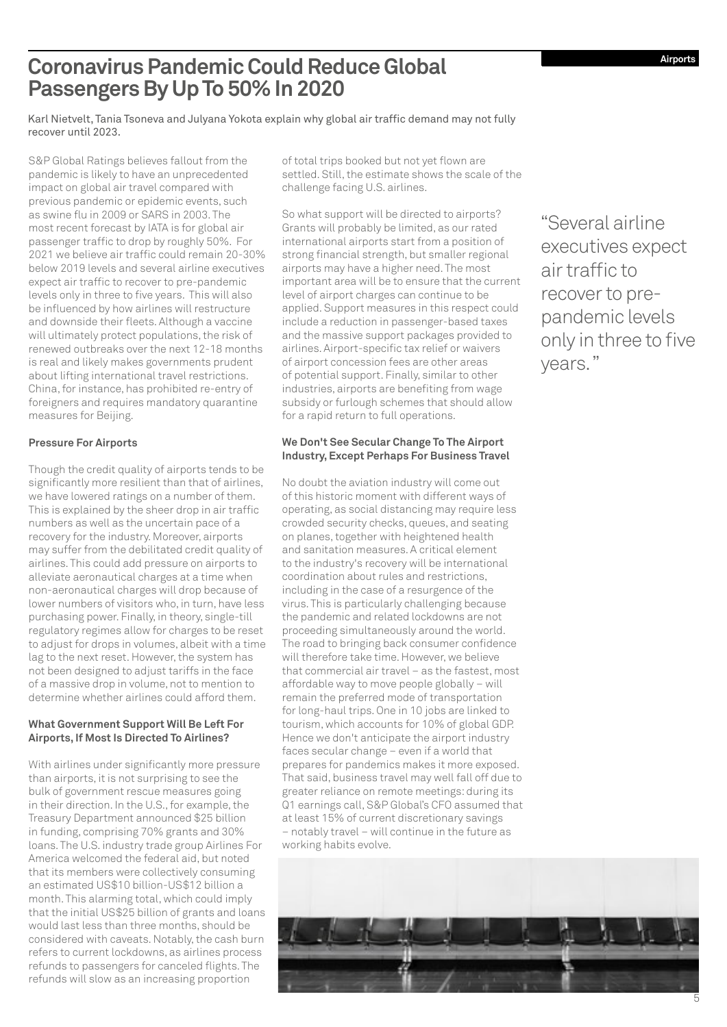## **Coronavirus Pandemic Could Reduce Global Passengers By Up To 50% In 2020**

Karl Nietvelt, Tania Tsoneva and Julyana Yokota explain why global air traffic demand may not fully recover until 2023.

S&P Global Ratings believes fallout from the pandemic is likely to have an unprecedented impact on global air travel compared with previous pandemic or epidemic events, such as swine flu in 2009 or SARS in 2003. The most recent forecast by IATA is for global air passenger traffic to drop by roughly 50%. For 2021 we believe air traffic could remain 20-30% below 2019 levels and several airline executives expect air traffic to recover to pre-pandemic levels only in three to five years. This will also be influenced by how airlines will restructure and downside their fleets. Although a vaccine will ultimately protect populations, the risk of renewed outbreaks over the next 12-18 months is real and likely makes governments prudent about lifting international travel restrictions. China, for instance, has prohibited re-entry of foreigners and requires mandatory quarantine measures for Beijing.

### **Pressure For Airports**

Though the credit quality of airports tends to be significantly more resilient than that of airlines. we have lowered ratings on a number of them. This is explained by the sheer drop in air traffic numbers as well as the uncertain pace of a recovery for the industry. Moreover, airports may suffer from the debilitated credit quality of airlines. This could add pressure on airports to alleviate aeronautical charges at a time when non-aeronautical charges will drop because of lower numbers of visitors who, in turn, have less purchasing power. Finally, in theory, single-till regulatory regimes allow for charges to be reset to adjust for drops in volumes, albeit with a time lag to the next reset. However, the system has not been designed to adjust tariffs in the face of a massive drop in volume, not to mention to determine whether airlines could afford them.

### **What Government Support Will Be Left For Airports, If Most Is Directed To Airlines?**

With airlines under significantly more pressure than airports, it is not surprising to see the bulk of government rescue measures going in their direction. In the U.S., for example, the Treasury Department announced \$25 billion in funding, comprising 70% grants and 30% loans. The U.S. industry trade group Airlines For America welcomed the federal aid, but noted that its members were collectively consuming an estimated US\$10 billion-US\$12 billion a month. This alarming total, which could imply that the initial US\$25 billion of grants and loans would last less than three months, should be considered with caveats. Notably, the cash burn refers to current lockdowns, as airlines process refunds to passengers for canceled flights. The refunds will slow as an increasing proportion

of total trips booked but not yet flown are settled. Still, the estimate shows the scale of the challenge facing U.S. airlines.

So what support will be directed to airports? Grants will probably be limited, as our rated international airports start from a position of strong financial strength, but smaller regional airports may have a higher need. The most important area will be to ensure that the current level of airport charges can continue to be applied. Support measures in this respect could include a reduction in passenger-based taxes and the massive support packages provided to airlines. Airport-specific tax relief or waivers of airport concession fees are other areas of potential support. Finally, similar to other industries, airports are benefiting from wage subsidy or furlough schemes that should allow for a rapid return to full operations.

### **We Don't See Secular Change To The Airport Industry, Except Perhaps For Business Travel**

No doubt the aviation industry will come out of this historic moment with different ways of operating, as social distancing may require less crowded security checks, queues, and seating on planes, together with heightened health and sanitation measures. A critical element to the industry's recovery will be international coordination about rules and restrictions, including in the case of a resurgence of the virus. This is particularly challenging because the pandemic and related lockdowns are not proceeding simultaneously around the world. The road to bringing back consumer confidence will therefore take time. However, we believe that commercial air travel – as the fastest, most affordable way to move people globally – will remain the preferred mode of transportation for long-haul trips. One in 10 jobs are linked to tourism, which accounts for 10% of global GDP. Hence we don't anticipate the airport industry faces secular change – even if a world that prepares for pandemics makes it more exposed. That said, business travel may well fall off due to greater reliance on remote meetings: during its Q1 earnings call, S&P Global's CFO assumed that at least 15% of current discretionary savings – notably travel – will continue in the future as working habits evolve.

"Several airline executives expect air traffic to recover to prepandemic levels only in three to five years."

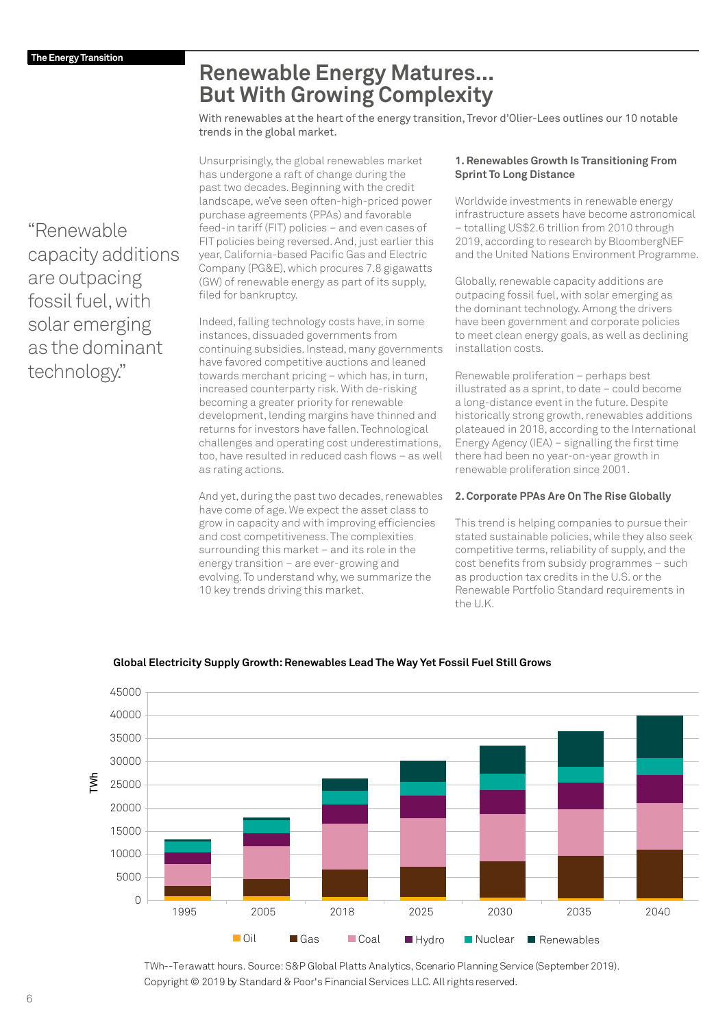## **Renewable Energy Matures... But With Growing Complexity**

With renewables at the heart of the energy transition, Trevor d'Olier-Lees outlines our 10 notable trends in the global market.

Unsurprisingly, the global renewables market has undergone a raft of change during the past two decades. Beginning with the credit landscape, we've seen often-high-priced power purchase agreements (PPAs) and favorable feed-in tariff (FIT) policies – and even cases of FIT policies being reversed. And, just earlier this year, California-based Pacific Gas and Electric Company (PG&E), which procures 7.8 gigawatts (GW) of renewable energy as part of its supply, filed for bankruptcy.

Indeed, falling technology costs have, in some instances, dissuaded governments from continuing subsidies. Instead, many governments have favored competitive auctions and leaned towards merchant pricing – which has, in turn, increased counterparty risk. With de-risking becoming a greater priority for renewable development, lending margins have thinned and returns for investors have fallen. Technological challenges and operating cost underestimations, too, have resulted in reduced cash flows – as well as rating actions.

And yet, during the past two decades, renewables have come of age. We expect the asset class to grow in capacity and with improving efficiencies and cost competitiveness. The complexities surrounding this market – and its role in the energy transition – are ever-growing and evolving. To understand why, we summarize the 10 key trends driving this market.

### **1. Renewables Growth Is Transitioning From Sprint To Long Distance**

Worldwide investments in renewable energy infrastructure assets have become astronomical – totalling US\$2.6 trillion from 2010 through 2019, according to research by BloombergNEF and the United Nations Environment Programme.

Globally, renewable capacity additions are outpacing fossil fuel, with solar emerging as the dominant technology. Among the drivers have been government and corporate policies to meet clean energy goals, as well as declining installation costs.

Renewable proliferation – perhaps best illustrated as a sprint, to date – could become a long-distance event in the future. Despite historically strong growth, renewables additions plateaued in 2018, according to the International Energy Agency (IEA) - signalling the first time there had been no year-on-year growth in renewable proliferation since 2001.

### **2. Corporate PPAs Are On The Rise Globally**

This trend is helping companies to pursue their stated sustainable policies, while they also seek competitive terms, reliability of supply, and the cost benefits from subsidy programmes – such as production tax credits in the U.S. or the Renewable Portfolio Standard requirements in the U.K.



### **Global Electricity Supply Growth: Renewables Lead The Way Yet Fossil Fuel Still Grows**

TWh--Terawatt hours. Source: S&P Global Platts Analytics, Scenario Planning Service (September 2019). Copyright © 2019 by Standard & Poor's Financial Services LLC. All rights reserved.

"Renewable capacity additions are outpacing fossil fuel, with solar emerging as the dominant technology."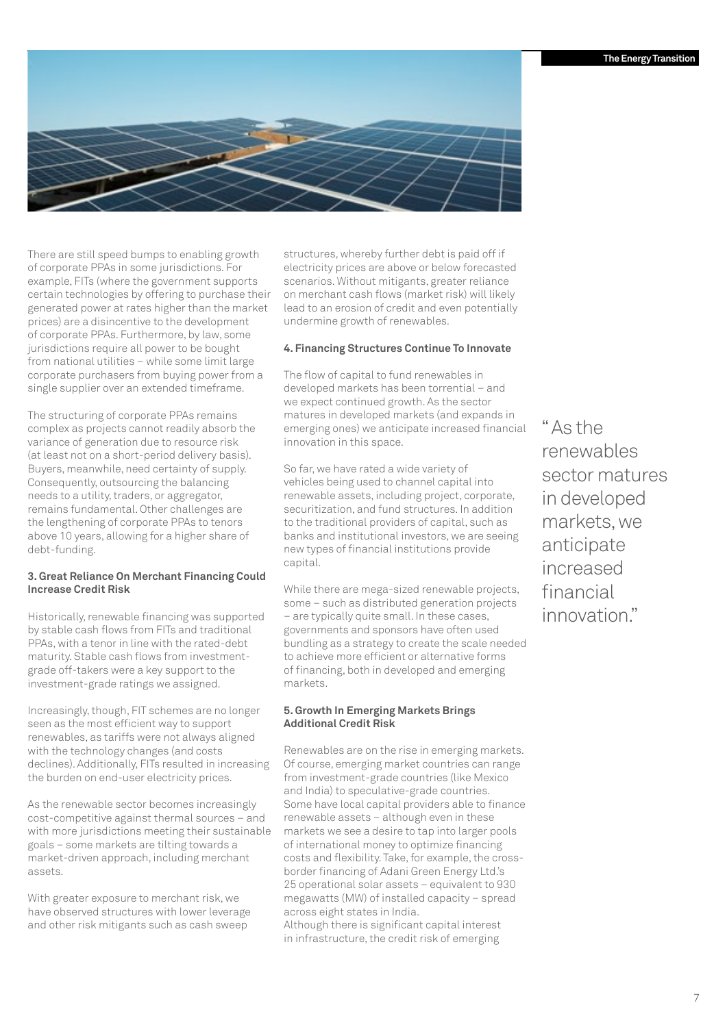

There are still speed bumps to enabling growth of corporate PPAs in some jurisdictions. For example, FITs (where the government supports certain technologies by offering to purchase their generated power at rates higher than the market prices) are a disincentive to the development of corporate PPAs. Furthermore, by law, some jurisdictions require all power to be bought from national utilities – while some limit large corporate purchasers from buying power from a single supplier over an extended timeframe.

The structuring of corporate PPAs remains complex as projects cannot readily absorb the variance of generation due to resource risk (at least not on a short-period delivery basis). Buyers, meanwhile, need certainty of supply. Consequently, outsourcing the balancing needs to a utility, traders, or aggregator, remains fundamental. Other challenges are the lengthening of corporate PPAs to tenors above 10 years, allowing for a higher share of debt-funding.

### **3. Great Reliance On Merchant Financing Could Increase Credit Risk**

Historically, renewable financing was supported by stable cash flows from FITs and traditional PPAs, with a tenor in line with the rated-debt maturity. Stable cash flows from investmentgrade off-takers were a key support to the investment-grade ratings we assigned.

Increasingly, though, FIT schemes are no longer seen as the most efficient way to support renewables, as tariffs were not always aligned with the technology changes (and costs declines). Additionally, FITs resulted in increasing the burden on end-user electricity prices.

As the renewable sector becomes increasingly cost-competitive against thermal sources – and with more jurisdictions meeting their sustainable goals – some markets are tilting towards a market-driven approach, including merchant assets.

With greater exposure to merchant risk, we have observed structures with lower leverage and other risk mitigants such as cash sweep

structures, whereby further debt is paid off if electricity prices are above or below forecasted scenarios. Without mitigants, greater reliance on merchant cash flows (market risk) will likely lead to an erosion of credit and even potentially undermine growth of renewables.

### **4. Financing Structures Continue To Innovate**

The flow of capital to fund renewables in developed markets has been torrential – and we expect continued growth. As the sector matures in developed markets (and expands in emerging ones) we anticipate increased financial innovation in this space.

So far, we have rated a wide variety of vehicles being used to channel capital into renewable assets, including project, corporate, securitization, and fund structures. In addition to the traditional providers of capital, such as banks and institutional investors, we are seeing new types of financial institutions provide capital.

While there are mega-sized renewable projects, some – such as distributed generation projects – are typically quite small. In these cases, governments and sponsors have often used bundling as a strategy to create the scale needed to achieve more efficient or alternative forms of financing, both in developed and emerging markets.

### **5. Growth In Emerging Markets Brings Additional Credit Risk**

Renewables are on the rise in emerging markets. Of course, emerging market countries can range from investment-grade countries (like Mexico and India) to speculative-grade countries. Some have local capital providers able to finance renewable assets – although even in these markets we see a desire to tap into larger pools of international money to optimize financing costs and flexibility. Take, for example, the crossborder financing of Adani Green Energy Ltd.'s 25 operational solar assets – equivalent to 930 megawatts (MW) of installed capacity – spread across eight states in India. Although there is significant capital interest in infrastructure, the credit risk of emerging

" As the renewables sector matures in developed markets, we anticipate increased financial innovation."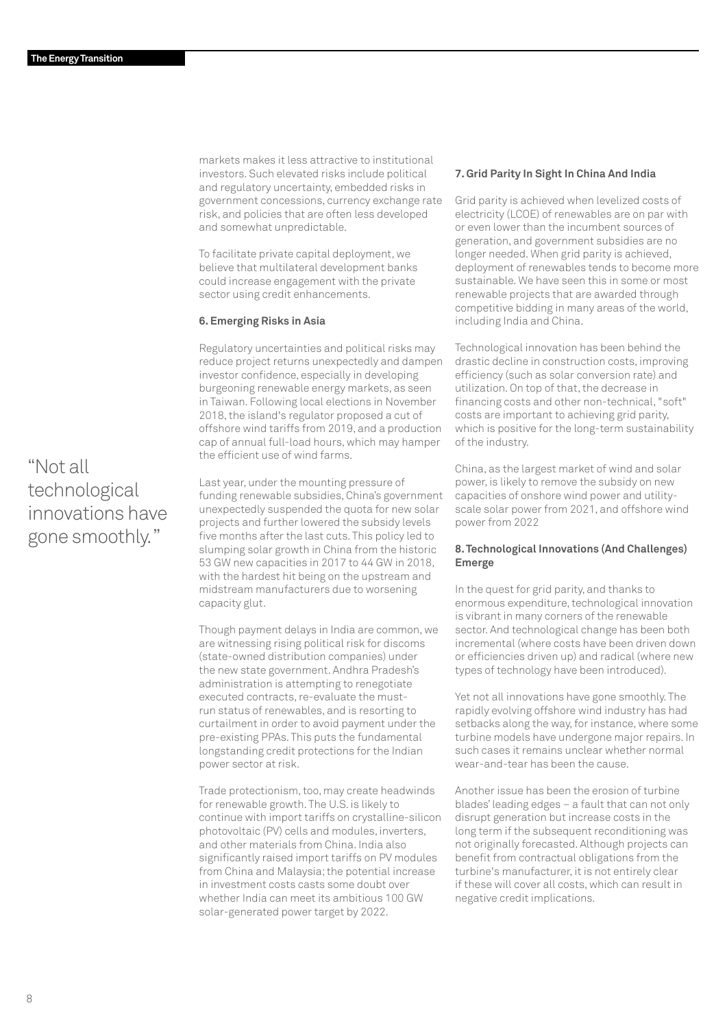markets makes it less attractive to institutional investors. Such elevated risks include political and regulatory uncertainty, embedded risks in government concessions, currency exchange rate risk, and policies that are often less developed and somewhat unpredictable.

To facilitate private capital deployment, we believe that multilateral development banks could increase engagement with the private sector using credit enhancements.

### **6. Emerging Risks in Asia**

Regulatory uncertainties and political risks may reduce project returns unexpectedly and dampen investor confidence, especially in developing burgeoning renewable energy markets, as seen in Taiwan. Following local elections in November 2018, the island's regulator proposed a cut of offshore wind tariffs from 2019, and a production cap of annual full-load hours, which may hamper the efficient use of wind farms.

Last year, under the mounting pressure of funding renewable subsidies, China's government unexpectedly suspended the quota for new solar projects and further lowered the subsidy levels five months after the last cuts. This policy led to slumping solar growth in China from the historic 53 GW new capacities in 2017 to 44 GW in 2018, with the hardest hit being on the upstream and midstream manufacturers due to worsening capacity glut.

Though payment delays in India are common, we are witnessing rising political risk for discoms (state-owned distribution companies) under the new state government. Andhra Pradesh's administration is attempting to renegotiate executed contracts, re-evaluate the mustrun status of renewables, and is resorting to curtailment in order to avoid payment under the pre-existing PPAs. This puts the fundamental longstanding credit protections for the Indian power sector at risk.

Trade protectionism, too, may create headwinds for renewable growth. The U.S. is likely to continue with import tariffs on crystalline-silicon photovoltaic (PV) cells and modules, inverters, and other materials from China. India also significantly raised import tariffs on PV modules from China and Malaysia; the potential increase in investment costs casts some doubt over whether India can meet its ambitious 100 GW solar-generated power target by 2022.

### **7. Grid Parity In Sight In China And India**

Grid parity is achieved when levelized costs of electricity (LCOE) of renewables are on par with or even lower than the incumbent sources of generation, and government subsidies are no longer needed. When grid parity is achieved, deployment of renewables tends to become more sustainable. We have seen this in some or most renewable projects that are awarded through competitive bidding in many areas of the world, including India and China.

Technological innovation has been behind the drastic decline in construction costs, improving efficiency (such as solar conversion rate) and utilization. On top of that, the decrease in financing costs and other non-technical, "soft" costs are important to achieving grid parity, which is positive for the long-term sustainability of the industry.

China, as the largest market of wind and solar power, is likely to remove the subsidy on new capacities of onshore wind power and utilityscale solar power from 2021, and offshore wind power from 2022

### **8. Technological Innovations (And Challenges) Emerge**

In the quest for grid parity, and thanks to enormous expenditure, technological innovation is vibrant in many corners of the renewable sector. And technological change has been both incremental (where costs have been driven down or efficiencies driven up) and radical (where new types of technology have been introduced).

Yet not all innovations have gone smoothly. The rapidly evolving offshore wind industry has had setbacks along the way, for instance, where some turbine models have undergone major repairs. In such cases it remains unclear whether normal wear-and-tear has been the cause.

Another issue has been the erosion of turbine blades' leading edges – a fault that can not only disrupt generation but increase costs in the long term if the subsequent reconditioning was not originally forecasted. Although projects can benefit from contractual obligations from the turbine's manufacturer, it is not entirely clear if these will cover all costs, which can result in negative credit implications.

## "Not all technological innovations have gone smoothly. "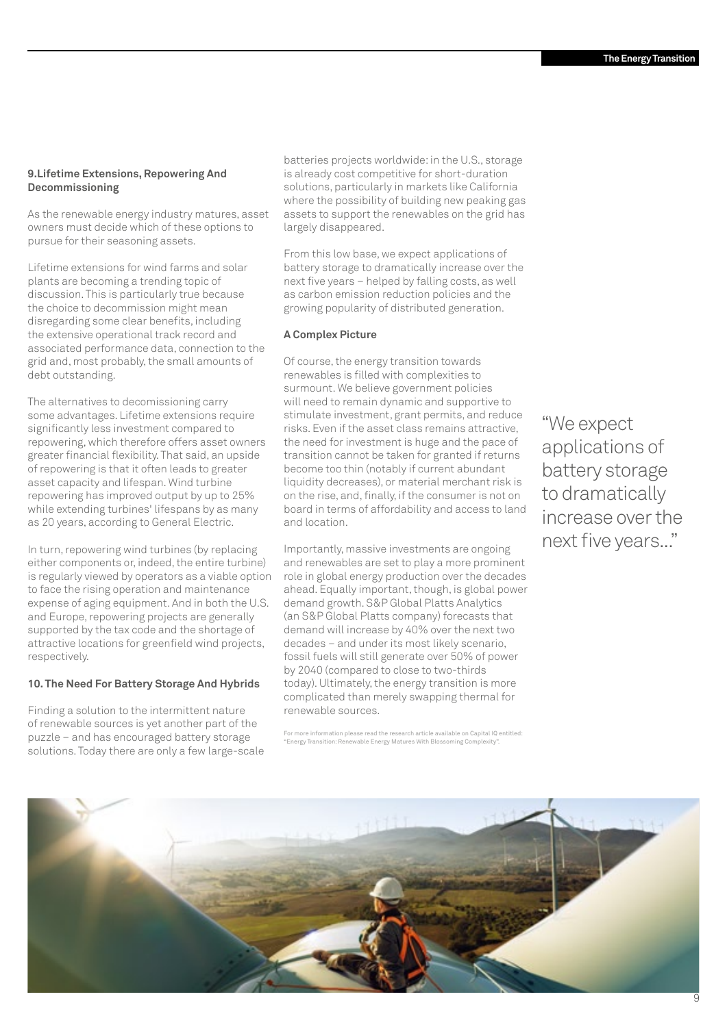### **9.Lifetime Extensions, Repowering And Decommissioning**

As the renewable energy industry matures, asset owners must decide which of these options to pursue for their seasoning assets.

Lifetime extensions for wind farms and solar plants are becoming a trending topic of discussion. This is particularly true because the choice to decommission might mean disregarding some clear benefits, including the extensive operational track record and associated performance data, connection to the grid and, most probably, the small amounts of debt outstanding.

The alternatives to decomissioning carry some advantages. Lifetime extensions require significantly less investment compared to repowering, which therefore offers asset owners greater financial flexibility. That said, an upside of repowering is that it often leads to greater asset capacity and lifespan. Wind turbine repowering has improved output by up to 25% while extending turbines' lifespans by as many as 20 years, according to General Electric.

In turn, repowering wind turbines (by replacing either components or, indeed, the entire turbine) is regularly viewed by operators as a viable option to face the rising operation and maintenance expense of aging equipment. And in both the U.S. and Europe, repowering projects are generally supported by the tax code and the shortage of attractive locations for greenfield wind projects, respectively.

### **10. The Need For Battery Storage And Hybrids**

Finding a solution to the intermittent nature of renewable sources is yet another part of the puzzle – and has encouraged battery storage solutions. Today there are only a few large-scale batteries projects worldwide: in the U.S., storage is already cost competitive for short-duration solutions, particularly in markets like California where the possibility of building new peaking gas assets to support the renewables on the grid has largely disappeared.

From this low base, we expect applications of battery storage to dramatically increase over the next five years – helped by falling costs, as well as carbon emission reduction policies and the growing popularity of distributed generation.

### **A Complex Picture**

Of course, the energy transition towards renewables is filled with complexities to surmount. We believe government policies will need to remain dynamic and supportive to stimulate investment, grant permits, and reduce risks. Even if the asset class remains attractive, the need for investment is huge and the pace of transition cannot be taken for granted if returns become too thin (notably if current abundant liquidity decreases), or material merchant risk is on the rise, and, finally, if the consumer is not on board in terms of affordability and access to land and location.

Importantly, massive investments are ongoing and renewables are set to play a more prominent role in global energy production over the decades ahead. Equally important, though, is global power demand growth. S&P Global Platts Analytics (an S&P Global Platts company) forecasts that demand will increase by 40% over the next two decades – and under its most likely scenario, fossil fuels will still generate over 50% of power by 2040 (compared to close to two-thirds today). Ultimately, the energy transition is more complicated than merely swapping thermal for renewable sources.

For more information please read the research article available on Capital IQ entitled: "Energy Transition: Renewable Energy Matures With Blossoming Complexity".

"We expect applications of battery storage to dramatically increase over the next five years..."

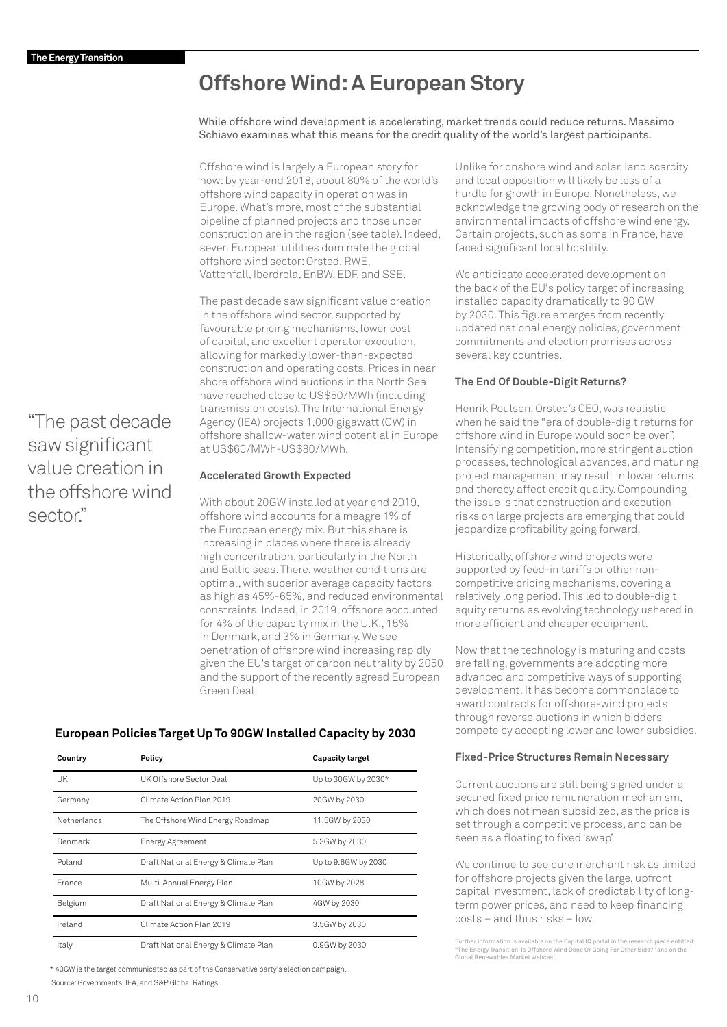## **Offshore Wind: A European Story**

While offshore wind development is accelerating, market trends could reduce returns. Massimo Schiavo examines what this means for the credit quality of the world's largest participants.

Offshore wind is largely a European story for now: by year-end 2018, about 80% of the world's offshore wind capacity in operation was in Europe. What's more, most of the substantial pipeline of planned projects and those under construction are in the region (see table). Indeed, seven European utilities dominate the global offshore wind sector: Orsted, RWE, Vattenfall, Iberdrola, EnBW, EDF, and SSE.

The past decade saw significant value creation in the offshore wind sector, supported by favourable pricing mechanisms, lower cost of capital, and excellent operator execution, allowing for markedly lower-than-expected construction and operating costs. Prices in near shore offshore wind auctions in the North Sea have reached close to US\$50/MWh (including transmission costs). The International Energy Agency (IEA) projects 1,000 gigawatt (GW) in offshore shallow-water wind potential in Europe at US\$60/MWh-US\$80/MWh.

### **Accelerated Growth Expected**

With about 20GW installed at year end 2019, offshore wind accounts for a meagre 1% of the European energy mix. But this share is increasing in places where there is already high concentration, particularly in the North and Baltic seas. There, weather conditions are optimal, with superior average capacity factors as high as 45%-65%, and reduced environmental constraints. Indeed, in 2019, offshore accounted for 4% of the capacity mix in the U.K., 15% in Denmark, and 3% in Germany. We see penetration of offshore wind increasing rapidly given the EU's target of carbon neutrality by 2050 and the support of the recently agreed European Green Deal.

### **European Policies Target Up To 90GW Installed Capacity by 2030**

| Country     | Policy                               | <b>Capacity target</b> |
|-------------|--------------------------------------|------------------------|
| UK          | UK Offshore Sector Deal              | Up to 30GW by 2030*    |
| Germany     | Climate Action Plan 2019             | 20GW by 2030           |
| Netherlands | The Offshore Wind Energy Roadmap     | 11.5GW by 2030         |
| Denmark     | Energy Agreement                     | 5.3GW by 2030          |
| Poland      | Draft National Energy & Climate Plan | Up to 9.6GW by 2030    |
| France      | Multi-Annual Energy Plan             | 10GW by 2028           |
| Belgium     | Draft National Energy & Climate Plan | 4GW by 2030            |
| Ireland     | Climate Action Plan 2019             | 3.5GW by 2030          |
| Italy       | Draft National Energy & Climate Plan | 0.9GW by 2030          |

\* 40GW is the target communicated as part of the Conservative party's election campaign.

Source: Governments, IEA, and S&P Global Ratings

Unlike for onshore wind and solar, land scarcity and local opposition will likely be less of a hurdle for growth in Europe. Nonetheless, we acknowledge the growing body of research on the environmental impacts of offshore wind energy. Certain projects, such as some in France, have faced significant local hostility.

We anticipate accelerated development on the back of the EU's policy target of increasing installed capacity dramatically to 90 GW by 2030. This figure emerges from recently updated national energy policies, government commitments and election promises across several key countries.

### **The End Of Double-Digit Returns?**

Henrik Poulsen, Orsted's CEO, was realistic when he said the "era of double-digit returns for offshore wind in Europe would soon be over". Intensifying competition, more stringent auction processes, technological advances, and maturing project management may result in lower returns and thereby affect credit quality. Compounding the issue is that construction and execution risks on large projects are emerging that could jeopardize profitability going forward.

Historically, offshore wind projects were supported by feed-in tariffs or other noncompetitive pricing mechanisms, covering a relatively long period. This led to double-digit equity returns as evolving technology ushered in more efficient and cheaper equipment.

Now that the technology is maturing and costs are falling, governments are adopting more advanced and competitive ways of supporting development. It has become commonplace to award contracts for offshore-wind projects through reverse auctions in which bidders compete by accepting lower and lower subsidies.

### **Fixed-Price Structures Remain Necessary**

Current auctions are still being signed under a secured fixed price remuneration mechanism, which does not mean subsidized, as the price is set through a competitive process, and can be seen as a floating to fixed 'swap'.

We continue to see pure merchant risk as limited for offshore projects given the large, upfront capital investment, lack of predictability of longterm power prices, and need to keep financing costs – and thus risks – low.

Further information is available on the Capital IQ portal in the research piece entitled: "The Energy Transition: Is Offshore Wind Done Or Going For Other Bids?" and on [the](https://event.on24.com/eventRegistration/EventLobbyServlet?target=reg20.jsp&partnerref=Ratings&mkt_tok=eyJpIjoiTmprME1EVXhZelZsTmpjMSIsInQiOiJhdDRjdVwvbE5CTElTOTQrb2ROT0dHWXJTc0kyMEtiZFwvSFloZDZ3NWdZck1zUTJyT2JxYXhSanllaEp4M0JYRDNVTVZUcEhZSHJRVTYycmg2RGZ2MkJRNWNZcVc0dUpMbjl1SVhWM1ZwYVNPQ21lMnJuZyt1M1RYNjdCbnFiK201In0%3D&eventid=2142018&sessionid=1&key=388CE62805589A532DCE9702C1E452EF®Tag=&sourcepage=register)  [Global Renewables Market webcast](https://event.on24.com/eventRegistration/EventLobbyServlet?target=reg20.jsp&partnerref=Ratings&mkt_tok=eyJpIjoiTmprME1EVXhZelZsTmpjMSIsInQiOiJhdDRjdVwvbE5CTElTOTQrb2ROT0dHWXJTc0kyMEtiZFwvSFloZDZ3NWdZck1zUTJyT2JxYXhSanllaEp4M0JYRDNVTVZUcEhZSHJRVTYycmg2RGZ2MkJRNWNZcVc0dUpMbjl1SVhWM1ZwYVNPQ21lMnJuZyt1M1RYNjdCbnFiK201In0%3D&eventid=2142018&sessionid=1&key=388CE62805589A532DCE9702C1E452EF®Tag=&sourcepage=register).

"The past decade saw significant value creation in the offshore wind sector"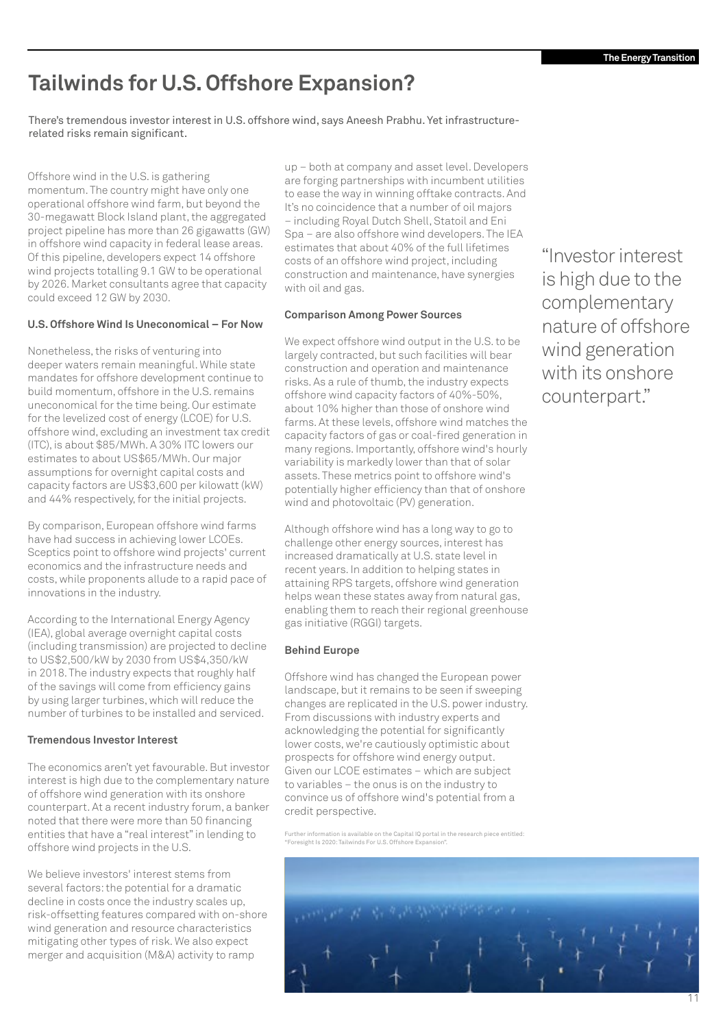## **Tailwinds for U.S. Offshore Expansion?**

There's tremendous investor interest in U.S. offshore wind, says Aneesh Prabhu. Yet infrastructurerelated risks remain significant.

Offshore wind in the U.S. is gathering momentum. The country might have only one operational offshore wind farm, but beyond the 30-megawatt Block Island plant, the aggregated project pipeline has more than 26 gigawatts (GW) in offshore wind capacity in federal lease areas. Of this pipeline, developers expect 14 offshore wind projects totalling 9.1 GW to be operational by 2026. Market consultants agree that capacity could exceed 12 GW by 2030.

### **U.S. Offshore Wind Is Uneconomical – For Now**

Nonetheless, the risks of venturing into deeper waters remain meaningful. While state mandates for offshore development continue to build momentum, offshore in the U.S. remains uneconomical for the time being. Our estimate for the levelized cost of energy (LCOE) for U.S. offshore wind, excluding an investment tax credit (ITC), is about \$85/MWh. A 30% ITC lowers our estimates to about US\$65/MWh. Our major assumptions for overnight capital costs and capacity factors are US\$3,600 per kilowatt (kW) and 44% respectively, for the initial projects.

By comparison, European offshore wind farms have had success in achieving lower LCOEs. Sceptics point to offshore wind projects' current economics and the infrastructure needs and costs, while proponents allude to a rapid pace of innovations in the industry.

According to the International Energy Agency (IEA), global average overnight capital costs (including transmission) are projected to decline to US\$2,500/kW by 2030 from US\$4,350/kW in 2018. The industry expects that roughly half of the savings will come from efficiency gains by using larger turbines, which will reduce the number of turbines to be installed and serviced.

### **Tremendous Investor Interest**

The economics aren't yet favourable. But investor interest is high due to the complementary nature of offshore wind generation with its onshore counterpart. At a recent industry forum, a banker noted that there were more than 50 financing entities that have a "real interest" in lending to offshore wind projects in the U.S.

We believe investors' interest stems from several factors: the potential for a dramatic decline in costs once the industry scales up, risk-offsetting features compared with on-shore wind generation and resource characteristics mitigating other types of risk. We also expect merger and acquisition (M&A) activity to ramp

up – both at company and asset level. Developers are forging partnerships with incumbent utilities to ease the way in winning offtake contracts. And It's no coincidence that a number of oil majors – including Royal Dutch Shell, Statoil and Eni Spa – are also offshore wind developers. The IEA estimates that about 40% of the full lifetimes costs of an offshore wind project, including construction and maintenance, have synergies with oil and gas.

### **Comparison Among Power Sources**

We expect offshore wind output in the U.S. to be largely contracted, but such facilities will bear construction and operation and maintenance risks. As a rule of thumb, the industry expects offshore wind capacity factors of 40%-50%, about 10% higher than those of onshore wind farms. At these levels, offshore wind matches the capacity factors of gas or coal-fired generation in many regions. Importantly, offshore wind's hourly variability is markedly lower than that of solar assets. These metrics point to offshore wind's potentially higher efficiency than that of onshore wind and photovoltaic (PV) generation.

Although offshore wind has a long way to go to challenge other energy sources, interest has increased dramatically at U.S. state level in recent years. In addition to helping states in attaining RPS targets, offshore wind generation helps wean these states away from natural gas. enabling them to reach their regional greenhouse gas initiative (RGGI) targets.

### **Behind Europe**

Offshore wind has changed the European power landscape, but it remains to be seen if sweeping changes are replicated in the U.S. power industry. From discussions with industry experts and acknowledging the potential for significantly lower costs, we're cautiously optimistic about prospects for offshore wind energy output. Given our LCOE estimates – which are subject to variables – the onus is on the industry to convince us of offshore wind's potential from a credit perspective.

Further information is available on the Capital IQ portal in the research piece entitled: "Foresight Is 2020: Tailwinds For U.S. Offshore Expansion".

"Investor interest is high due to the complementary nature of offshore wind generation with its onshore counterpart."

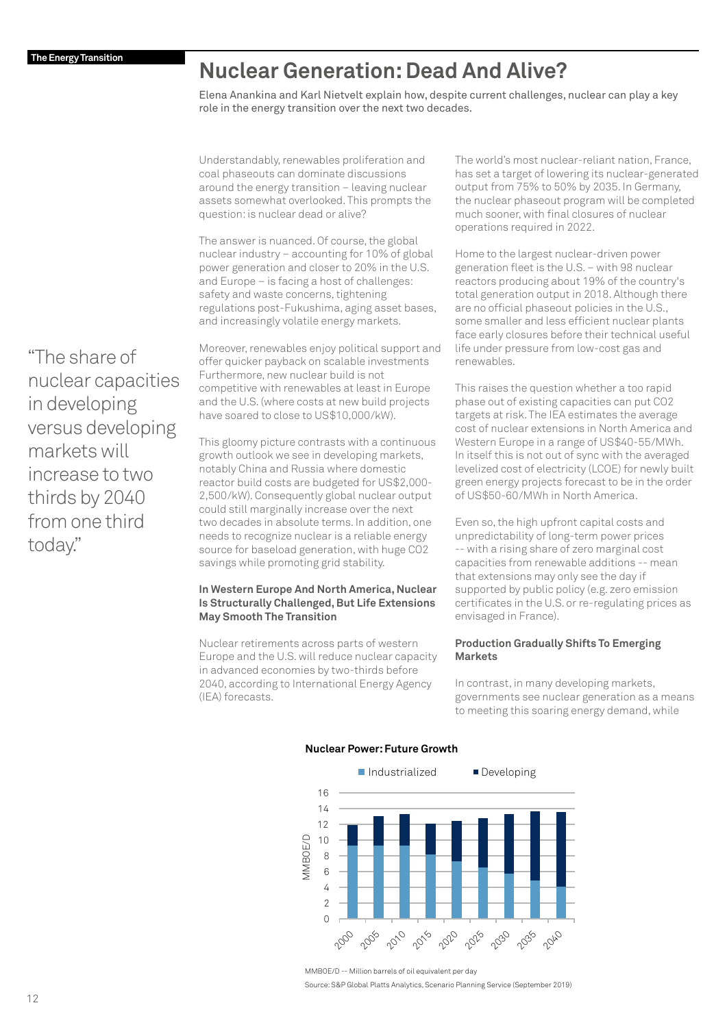## **Nuclear Generation: Dead And Alive?**

Elena Anankina and Karl Nietvelt explain how, despite current challenges, nuclear can play a key role in the energy transition over the next two decades.

Understandably, renewables proliferation and coal phaseouts can dominate discussions around the energy transition – leaving nuclear assets somewhat overlooked. This prompts the question: is nuclear dead or alive?

The answer is nuanced. Of course, the global nuclear industry – accounting for 10% of global power generation and closer to 20% in the U.S. and Europe – is facing a host of challenges: safety and waste concerns, tightening regulations post-Fukushima, aging asset bases, and increasingly volatile energy markets.

Moreover, renewables enjoy political support and offer quicker payback on scalable investments Furthermore, new nuclear build is not competitive with renewables at least in Europe and the U.S. (where costs at new build projects have soared to close to US\$10,000/kW).

This gloomy picture contrasts with a continuous growth outlook we see in developing markets, notably China and Russia where domestic reactor build costs are budgeted for US\$2,000- 2,500/kW). Consequently global nuclear output could still marginally increase over the next two decades in absolute terms. In addition, one needs to recognize nuclear is a reliable energy source for baseload generation, with huge CO2 savings while promoting grid stability.

### **In Western Europe And North America, Nuclear Is Structurally Challenged, But Life Extensions May Smooth The Transition**

Nuclear retirements across parts of western Europe and the U.S. will reduce nuclear capacity in advanced economies by two-thirds before 2040, according to International Energy Agency (IEA) forecasts.

The world's most nuclear-reliant nation, France, has set a target of lowering its nuclear-generated output from 75% to 50% by 2035. In Germany, the nuclear phaseout program will be completed much sooner, with final closures of nuclear operations required in 2022.

Home to the largest nuclear-driven power generation fleet is the U.S. – with 98 nuclear reactors producing about 19% of the country's total generation output in 2018. Although there are no official phaseout policies in the U.S., some smaller and less efficient nuclear plants face early closures before their technical useful life under pressure from low-cost gas and renewables.

This raises the question whether a too rapid phase out of existing capacities can put CO2 targets at risk. The IEA estimates the average cost of nuclear extensions in North America and Western Europe in a range of US\$40-55/MWh. In itself this is not out of sync with the averaged levelized cost of electricity (LCOE) for newly built green energy projects forecast to be in the order of US\$50-60/MWh in North America.

Even so, the high upfront capital costs and unpredictability of long-term power prices -- with a rising share of zero marginal cost capacities from renewable additions -- mean that extensions may only see the day if supported by public policy (e.g. zero emission certificates in the U.S. or re-regulating prices as envisaged in France).

### **Production Gradually Shifts To Emerging Markets**

In contrast, in many developing markets, governments see nuclear generation as a means to meeting this soaring energy demand, while



MMBOE/D -- Million barrels of oil equivalent per day

"The share of nuclear capacities in developing versus developing markets will increase to two thirds by 2040 from one third today."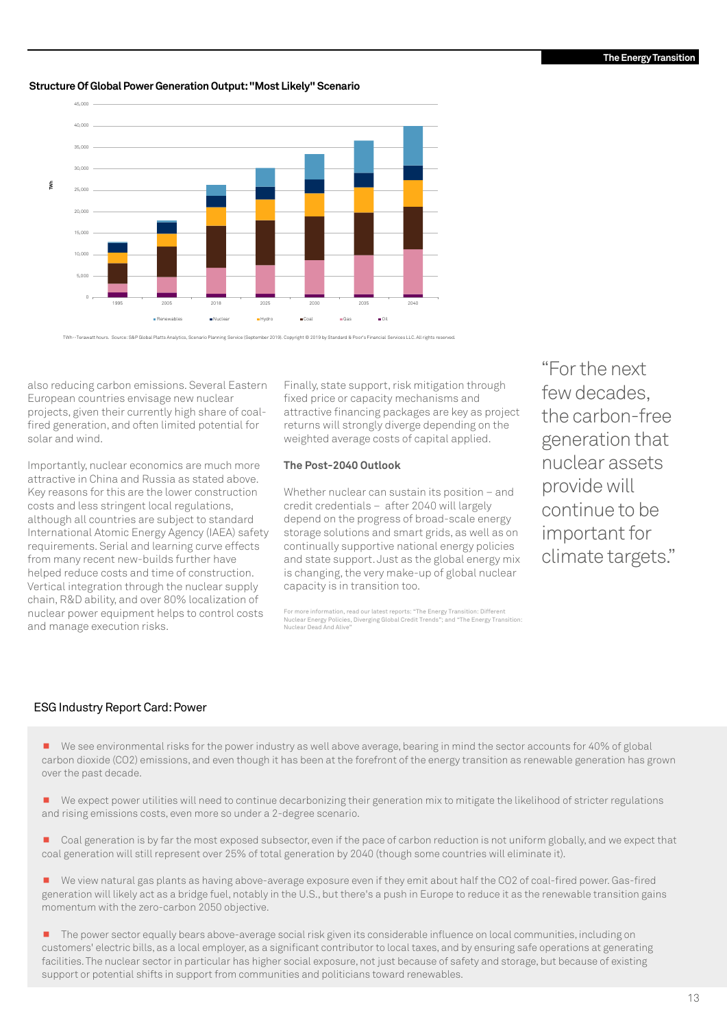### **Structure Of Global Power Generation Output: "Most Likely" Scenario**



TWh--Terawatt hours. Source: S&P Global Platts Analytics, Scenario Planning Service (September 2019). Copyright © 2019 by Standard & Poor's Financial Services LLC. All rights reserved.

also reducing carbon emissions. Several Eastern European countries envisage new nuclear projects, given their currently high share of coalfired generation, and often limited potential for solar and wind.

Importantly, nuclear economics are much more attractive in China and Russia as stated above. Key reasons for this are the lower construction costs and less stringent local regulations, although all countries are subject to standard International Atomic Energy Agency (IAEA) safety requirements. Serial and learning curve effects from many recent new-builds further have helped reduce costs and time of construction. Vertical integration through the nuclear supply chain, R&D ability, and over 80% localization of nuclear power equipment helps to control costs and manage execution risks.

Finally, state support, risk mitigation through fixed price or capacity mechanisms and attractive financing packages are key as project returns will strongly diverge depending on the weighted average costs of capital applied.

### **The Post-2040 Outlook**

Whether nuclear can sustain its position – and credit credentials – after 2040 will largely depend on the progress of broad-scale energy storage solutions and smart grids, as well as on continually supportive national energy policies and state support. Just as the global energy mix is changing, the very make-up of global nuclear capacity is in transition too.

For more information, read our latest reports: "The Energy Transition: Different Nuclear Energy Policies, Diverging Global Credit Trends"; and "The Energy Transition: Nuclear Dead And Alive"

"For the next few decades, the carbon-free generation that nuclear assets provide will continue to be important for climate targets."

### ESG Industry Report Card: Power

■ We see environmental risks for the power industry as well above average, bearing in mind the sector accounts for 40% of global carbon dioxide (CO2) emissions, and even though it has been at the forefront of the energy transition as renewable generation has grown over the past decade.

- We expect power utilities will need to continue decarbonizing their generation mix to mitigate the likelihood of stricter regulations and rising emissions costs, even more so under a 2-degree scenario.
- Coal generation is by far the most exposed subsector, even if the pace of carbon reduction is not uniform globally, and we expect that coal generation will still represent over 25% of total generation by 2040 (though some countries will eliminate it).
- ¾ We view natural gas plants as having above-average exposure even if they emit about half the CO2 of coal-fired power. Gas-fired generation will likely act as a bridge fuel, notably in the U.S., but there's a push in Europe to reduce it as the renewable transition gains momentum with the zero-carbon 2050 objective.
- The power sector equally bears above-average social risk given its considerable influence on local communities, including on customers' electric bills, as a local employer, as a significant contributor to local taxes, and by ensuring safe operations at generating facilities. The nuclear sector in particular has higher social exposure, not just because of safety and storage, but because of existing support or potential shifts in support from communities and politicians toward renewables.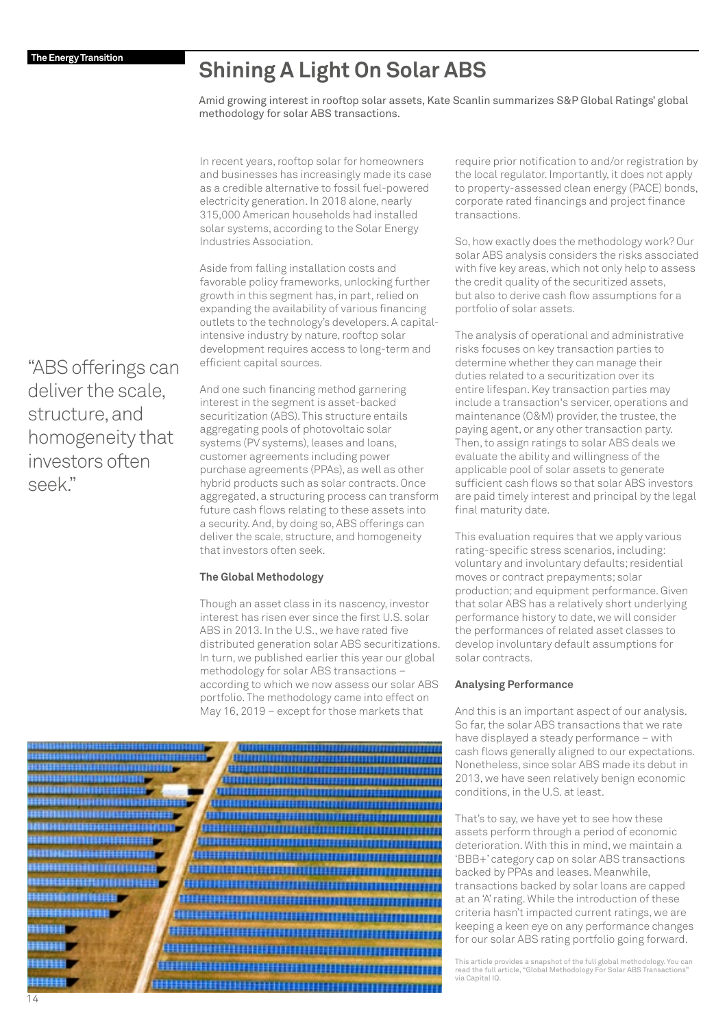## **Shining A Light On Solar ABS**

Amid growing interest in rooftop solar assets, Kate Scanlin summarizes S&P Global Ratings' global methodology for solar ABS transactions.

In recent years, rooftop solar for homeowners and businesses has increasingly made its case as a credible alternative to fossil fuel-powered electricity generation. In 2018 alone, nearly 315,000 American households had installed solar systems, according to the Solar Energy Industries Association.

Aside from falling installation costs and favorable policy frameworks, unlocking further growth in this segment has, in part, relied on expanding the availability of various financing outlets to the technology's developers. A capitalintensive industry by nature, rooftop solar development requires access to long-term and efficient capital sources.

And one such financing method garnering interest in the segment is asset-backed securitization (ABS). This structure entails aggregating pools of photovoltaic solar systems (PV systems), leases and loans, customer agreements including power purchase agreements (PPAs), as well as other hybrid products such as solar contracts. Once aggregated, a structuring process can transform future cash flows relating to these assets into a security. And, by doing so, ABS offerings can deliver the scale, structure, and homogeneity that investors often seek.

### **The Global Methodology**

Though an asset class in its nascency, investor interest has risen ever since the first U.S. solar ABS in 2013. In the U.S., we have rated five distributed generation solar ABS securitizations. In turn, we published earlier this year our global methodology for solar ABS transactions – according to which we now assess our solar ABS portfolio. The methodology came into effect on May 16, 2019 – except for those markets that



require prior notification to and/or registration by the local regulator. Importantly, it does not apply to property-assessed clean energy (PACE) bonds, corporate rated financings and project finance transactions.

So, how exactly does the methodology work? Our solar ABS analysis considers the risks associated with five key areas, which not only help to assess the credit quality of the securitized assets, but also to derive cash flow assumptions for a portfolio of solar assets.

The analysis of operational and administrative risks focuses on key transaction parties to determine whether they can manage their duties related to a securitization over its entire lifespan. Key transaction parties may include a transaction's servicer, operations and maintenance (O&M) provider, the trustee, the paying agent, or any other transaction party. Then, to assign ratings to solar ABS deals we evaluate the ability and willingness of the applicable pool of solar assets to generate sufficient cash flows so that solar ABS investors are paid timely interest and principal by the legal final maturity date.

This evaluation requires that we apply various rating-specific stress scenarios, including: voluntary and involuntary defaults; residential moves or contract prepayments; solar production; and equipment performance. Given that solar ABS has a relatively short underlying performance history to date, we will consider the performances of related asset classes to develop involuntary default assumptions for solar contracts.

### **Analysing Performance**

And this is an important aspect of our analysis. So far, the solar ABS transactions that we rate have displayed a steady performance – with cash flows generally aligned to our expectations. Nonetheless, since solar ABS made its debut in 2013, we have seen relatively benign economic conditions, in the U.S. at least.

That's to say, we have yet to see how these assets perform through a period of economic deterioration. With this in mind, we maintain a 'BBB+' category cap on solar ABS transactions backed by PPAs and leases. Meanwhile, transactions backed by solar loans are capped at an 'A' rating. While the introduction of these criteria hasn't impacted current ratings, we are keeping a keen eye on any performance changes for our solar ABS rating portfolio going forward.

This article provides a snapshot of the full global methodology. You can read the full article, "Global Methodology For Solar ABS Transactions" via Capital IQ.

"ABS offerings can deliver the scale, structure, and homogeneity that investors often seek."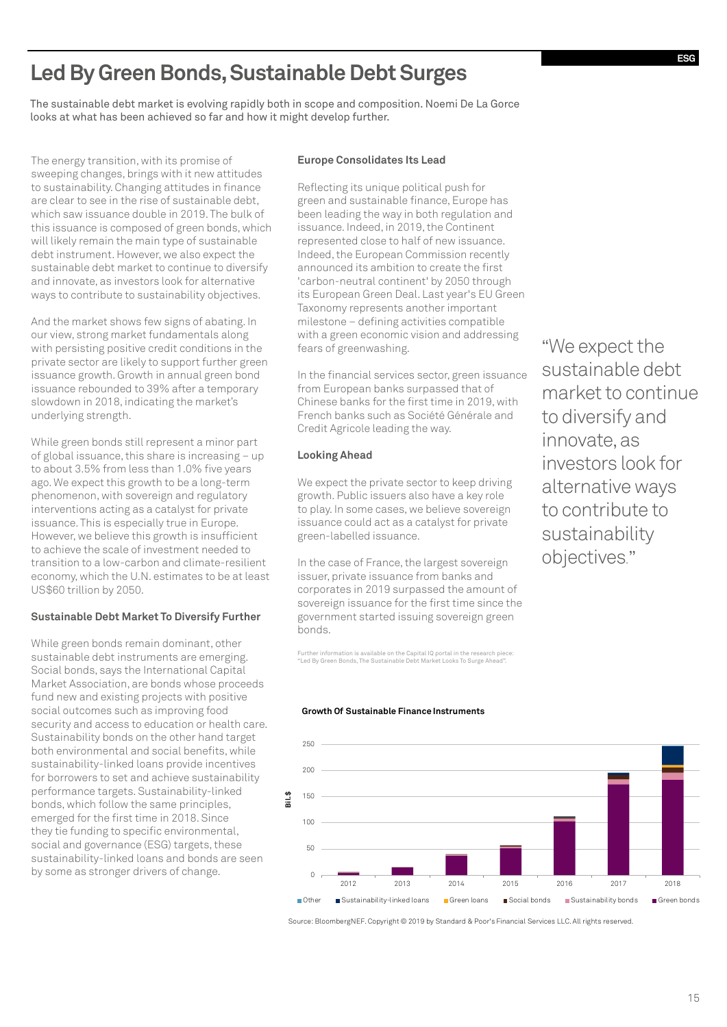## **Led By Green Bonds, Sustainable Debt Surges**

The sustainable debt market is evolving rapidly both in scope and composition. Noemi De La Gorce looks at what has been achieved so far and how it might develop further.

The energy transition, with its promise of sweeping changes, brings with it new attitudes to sustainability. Changing attitudes in finance are clear to see in the rise of sustainable debt, which saw issuance double in 2019. The bulk of this issuance is composed of green bonds, which will likely remain the main type of sustainable debt instrument. However, we also expect the sustainable debt market to continue to diversify and innovate, as investors look for alternative ways to contribute to sustainability objectives.

And the market shows few signs of abating. In our view, strong market fundamentals along with persisting positive credit conditions in the private sector are likely to support further green issuance growth. Growth in annual green bond issuance rebounded to 39% after a temporary slowdown in 2018, indicating the market's underlying strength.

While green bonds still represent a minor part of global issuance, this share is increasing – up to about 3.5% from less than 1.0% five years ago. We expect this growth to be a long-term phenomenon, with sovereign and regulatory interventions acting as a catalyst for private issuance. This is especially true in Europe. However, we believe this growth is insufficient to achieve the scale of investment needed to transition to a low-carbon and climate-resilient economy, which the U.N. estimates to be at least US\$60 trillion by 2050.

### **Sustainable Debt Market To Diversify Further**

While green bonds remain dominant, other sustainable debt instruments are emerging. Social bonds, says the International Capital Market Association, are bonds whose proceeds fund new and existing projects with positive social outcomes such as improving food security and access to education or health care. Sustainability bonds on the other hand target both environmental and social benefits, while sustainability-linked loans provide incentives for borrowers to set and achieve sustainability performance targets. Sustainability-linked bonds, which follow the same principles, emerged for the first time in 2018. Since they tie funding to specific environmental, social and governance (ESG) targets, these sustainability-linked loans and bonds are seen by some as stronger drivers of change.

### **Europe Consolidates Its Lead**

Reflecting its unique political push for green and sustainable finance, Europe has been leading the way in both regulation and issuance. Indeed, in 2019, the Continent represented close to half of new issuance. Indeed, the European Commission recently announced its ambition to create the first 'carbon-neutral continent' by 2050 through its European Green Deal. Last year's EU Green Taxonomy represents another important milestone – defining activities compatible with a green economic vision and addressing fears of greenwashing.

In the financial services sector, green issuance from European banks surpassed that of Chinese banks for the first time in 2019, with French banks such as Société Générale and Credit Agricole leading the way.

### **Looking Ahead**

We expect the private sector to keep driving growth. Public issuers also have a key role to play. In some cases, we believe sovereign issuance could act as a catalyst for private green-labelled issuance.

In the case of France, the largest sovereign issuer, private issuance from banks and corporates in 2019 surpassed the amount of sovereign issuance for the first time since the government started issuing sovereign green bonds.

Further information is available on the Capital IQ portal in the research piece: "Led By Green Bonds, The Sustainable Debt Market Looks To Surge Ahead".

"We expect the sustainable debt market to continue to diversify and innovate, as investors look for alternative ways to contribute to sustainability objectives."





Source: BloombergNEF. Copyright © 2019 by Standard & Poor's Financial Services LLC. All rights reserved.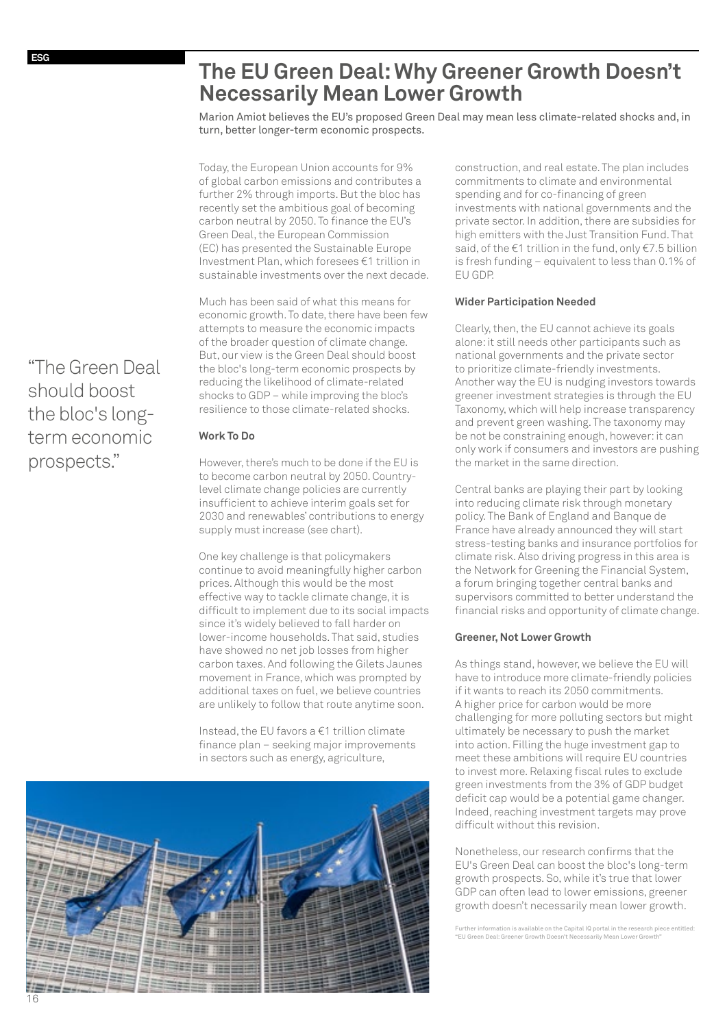## **The EU Green Deal: Why Greener Growth Doesn't Necessarily Mean Lower Growth**

Marion Amiot believes the EU's proposed Green Deal may mean less climate-related shocks and, in turn, better longer-term economic prospects.

Today, the European Union accounts for 9% of global carbon emissions and contributes a further 2% through imports. But the bloc has recently set the ambitious goal of becoming carbon neutral by 2050. To finance the EU's Green Deal, the European Commission (EC) has presented the Sustainable Europe Investment Plan, which foresees €1 trillion in sustainable investments over the next decade.

Much has been said of what this means for economic growth. To date, there have been few attempts to measure the economic impacts of the broader question of climate change. But, our view is the Green Deal should boost the bloc's long-term economic prospects by reducing the likelihood of climate-related shocks to GDP – while improving the bloc's resilience to those climate-related shocks.

### **Work To Do**

However, there's much to be done if the EU is to become carbon neutral by 2050. Countrylevel climate change policies are currently insufficient to achieve interim goals set for 2030 and renewables' contributions to energy supply must increase (see chart).

One key challenge is that policymakers continue to avoid meaningfully higher carbon prices. Although this would be the most effective way to tackle climate change, it is difficult to implement due to its social impacts since it's widely believed to fall harder on lower-income households. That said, studies have showed no net job losses from higher carbon taxes. And following the Gilets Jaunes movement in France, which was prompted by additional taxes on fuel, we believe countries are unlikely to follow that route anytime soon.

Instead, the EU favors a €1 trillion climate finance plan – seeking major improvements in sectors such as energy, agriculture,



construction, and real estate. The plan includes commitments to climate and environmental spending and for co-financing of green investments with national governments and the private sector. In addition, there are subsidies for high emitters with the Just Transition Fund. That said, of the €1 trillion in the fund, only €7.5 billion is fresh funding – equivalent to less than 0.1% of EU GDP.

### **Wider Participation Needed**

Clearly, then, the EU cannot achieve its goals alone: it still needs other participants such as national governments and the private sector to prioritize climate-friendly investments. Another way the EU is nudging investors towards greener investment strategies is through the EU Taxonomy, which will help increase transparency and prevent green washing. The taxonomy may be not be constraining enough, however: it can only work if consumers and investors are pushing the market in the same direction.

Central banks are playing their part by looking into reducing climate risk through monetary policy. The Bank of England and Banque de France have already announced they will start stress-testing banks and insurance portfolios for climate risk. Also driving progress in this area is the Network for Greening the Financial System, a forum bringing together central banks and supervisors committed to better understand the financial risks and opportunity of climate change.

### **Greener, Not Lower Growth**

As things stand, however, we believe the EU will have to introduce more climate-friendly policies if it wants to reach its 2050 commitments. A higher price for carbon would be more challenging for more polluting sectors but might ultimately be necessary to push the market into action. Filling the huge investment gap to meet these ambitions will require EU countries to invest more. Relaxing fiscal rules to exclude green investments from the 3% of GDP budget deficit cap would be a potential game changer. Indeed, reaching investment targets may prove difficult without this revision.

Nonetheless, our research confirms that the EU's Green Deal can boost the bloc's long-term growth prospects. So, while it's true that lower GDP can often lead to lower emissions, greener growth doesn't necessarily mean lower growth.

Further information is available on the Capital IQ portal in the research piece entitled: "EU Green Deal: Greener Growth Doesn't Necessarily Mean Lower Growth"

"The Green Deal should boost the bloc's longterm economic prospects."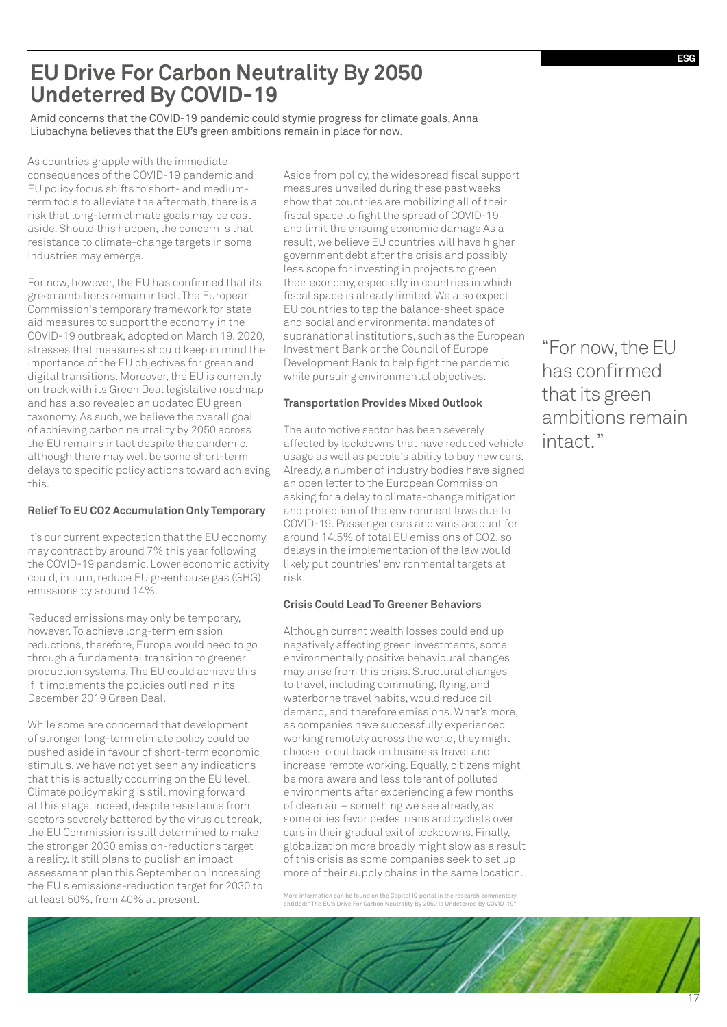## **EU Drive For Carbon Neutrality By 2050 Undeterred By COVID-19**

Amid concerns that the COVID-19 pandemic could stymie progress for climate goals, Anna Liubachyna believes that the EU's green ambitions remain in place for now.

As countries grapple with the immediate consequences of the COVID-19 pandemic and EU policy focus shifts to short- and mediumterm tools to alleviate the aftermath, there is a risk that long-term climate goals may be cast aside. Should this happen, the concern is that resistance to climate-change targets in some industries may emerge.

For now, however, the EU has confirmed that its green ambitions remain intact. The European Commission's temporary framework for state aid measures to support the economy in the COVID-19 outbreak, adopted on March 19, 2020, stresses that measures should keep in mind the importance of the EU objectives for green and digital transitions. Moreover, the EU is currently on track with its Green Deal legislative roadmap and has also revealed an updated EU green taxonomy. As such, we believe the overall goal of achieving carbon neutrality by 2050 across the EU remains intact despite the pandemic, although there may well be some short-term delays to specific policy actions toward achieving this.

### **Relief To EU CO2 Accumulation Only Temporary**

It's our current expectation that the EU economy may contract by around 7% this year following the COVID-19 pandemic. Lower economic activity could, in turn, reduce EU greenhouse gas (GHG) emissions by around 14%.

Reduced emissions may only be temporary, however. To achieve long-term emission reductions, therefore, Europe would need to go through a fundamental transition to greener production systems. The EU could achieve this if it implements the policies outlined in its December 2019 Green Deal.

While some are concerned that development of stronger long-term climate policy could be pushed aside in favour of short-term economic stimulus, we have not yet seen any indications that this is actually occurring on the EU level. Climate policymaking is still moving forward at this stage. Indeed, despite resistance from sectors severely battered by the virus outbreak, the EU Commission is still determined to make the stronger 2030 emission-reductions target a reality. It still plans to publish an impact assessment plan this September on increasing the EU's emissions-reduction target for 2030 to at least 50%, from 40% at present.

Aside from policy, the widespread fiscal support measures unveiled during these past weeks show that countries are mobilizing all of their fiscal space to fight the spread of COVID-19 and limit the ensuing economic damage As a result, we believe EU countries will have higher government debt after the crisis and possibly less scope for investing in projects to green their economy, especially in countries in which fiscal space is already limited. We also expect EU countries to tap the balance-sheet space and social and environmental mandates of supranational institutions, such as the European Investment Bank or the Council of Europe Development Bank to help fight the pandemic while pursuing environmental objectives.

### **Transportation Provides Mixed Outlook**

The automotive sector has been severely affected by lockdowns that have reduced vehicle usage as well as people's ability to buy new cars. Already, a number of industry bodies have signed an open letter to the European Commission asking for a delay to climate-change mitigation and protection of the environment laws due to COVID-19. Passenger cars and vans account for around 14.5% of total EU emissions of CO2, so delays in the implementation of the law would likely put countries' environmental targets at risk.

### **Crisis Could Lead To Greener Behaviors**

Although current wealth losses could end up negatively affecting green investments, some environmentally positive behavioural changes may arise from this crisis. Structural changes to travel, including commuting, flying, and waterborne travel habits, would reduce oil demand, and therefore emissions. What's more, as companies have successfully experienced working remotely across the world, they might choose to cut back on business travel and increase remote working. Equally, citizens might be more aware and less tolerant of polluted environments after experiencing a few months of clean air – something we see already, as some cities favor pedestrians and cyclists over cars in their gradual exit of lockdowns. Finally, globalization more broadly might slow as a result of this crisis as some companies seek to set up more of their supply chains in the same location.

More information can be found on the Capital IQ portal in the research commentary entitled: "The EU's Drive For Carbon Neutrality By 2050 Is Undeterred By COVID-19"

"For now, the EU has confirmed that its green ambitions remain intact. "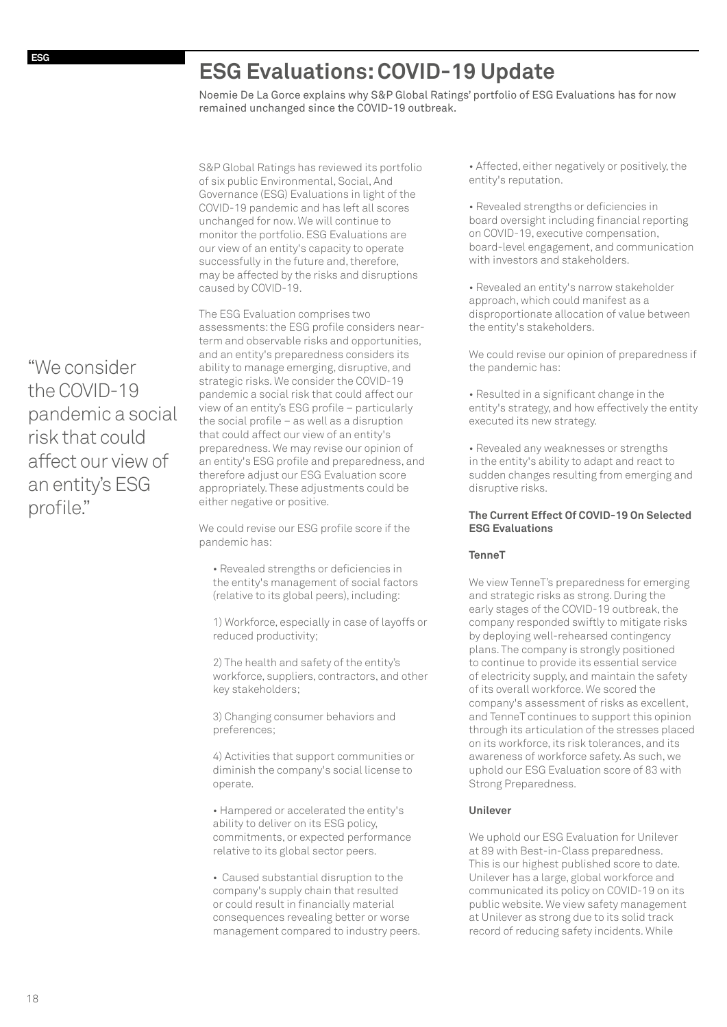## **ESG Evaluations: COVID-19 Update**

Noemie De La Gorce explains why S&P Global Ratings' portfolio of ESG Evaluations has for now remained unchanged since the COVID-19 outbreak.

S&P Global Ratings has reviewed its portfolio of six public Environmental, Social, And Governance (ESG) Evaluations in light of the COVID-19 pandemic and has left all scores unchanged for now. We will continue to monitor the portfolio. ESG Evaluations are our view of an entity's capacity to operate successfully in the future and, therefore, may be affected by the risks and disruptions caused by COVID-19.

The ESG Evaluation comprises two assessments: the ESG profile considers nearterm and observable risks and opportunities, and an entity's preparedness considers its ability to manage emerging, disruptive, and strategic risks. We consider the COVID-19 pandemic a social risk that could affect our view of an entity's ESG profile – particularly the social profile – as well as a disruption that could affect our view of an entity's preparedness. We may revise our opinion of an entity's ESG profile and preparedness, and therefore adjust our ESG Evaluation score appropriately. These adjustments could be either negative or positive.

We could revise our ESG profile score if the pandemic has:

• Revealed strengths or deficiencies in the entity's management of social factors (relative to its global peers), including:

1) Workforce, especially in case of layoffs or reduced productivity;

2) The health and safety of the entity's workforce, suppliers, contractors, and other key stakeholders;

3) Changing consumer behaviors and preferences;

4) Activities that support communities or diminish the company's social license to operate.

• Hampered or accelerated the entity's ability to deliver on its ESG policy, commitments, or expected performance relative to its global sector peers.

• Caused substantial disruption to the company's supply chain that resulted or could result in financially material consequences revealing better or worse management compared to industry peers.

• Affected, either negatively or positively, the entity's reputation.

• Revealed strengths or deficiencies in board oversight including financial reporting on COVID-19, executive compensation, board-level engagement, and communication with investors and stakeholders.

• Revealed an entity's narrow stakeholder approach, which could manifest as a disproportionate allocation of value between the entity's stakeholders.

We could revise our opinion of preparedness if the pandemic has:

• Resulted in a significant change in the entity's strategy, and how effectively the entity executed its new strategy.

• Revealed any weaknesses or strengths in the entity's ability to adapt and react to sudden changes resulting from emerging and disruptive risks.

### **The Current Effect Of COVID-19 On Selected ESG Evaluations**

### **TenneT**

We view TenneT's preparedness for emerging and strategic risks as strong. During the early stages of the COVID-19 outbreak, the company responded swiftly to mitigate risks by deploying well-rehearsed contingency plans. The company is strongly positioned to continue to provide its essential service of electricity supply, and maintain the safety of its overall workforce. We scored the company's assessment of risks as excellent, and TenneT continues to support this opinion through its articulation of the stresses placed on its workforce, its risk tolerances, and its awareness of workforce safety. As such, we uphold our ESG Evaluation score of 83 with Strong Preparedness.

### **Unilever**

We uphold our ESG Evaluation for Unilever at 89 with Best-in-Class preparedness. This is our highest published score to date. Unilever has a large, global workforce and communicated its policy on COVID-19 on its public website. We view safety management at Unilever as strong due to its solid track record of reducing safety incidents. While

"We consider the COVID-19 pandemic a social risk that could affect our view of an entity's ESG profile."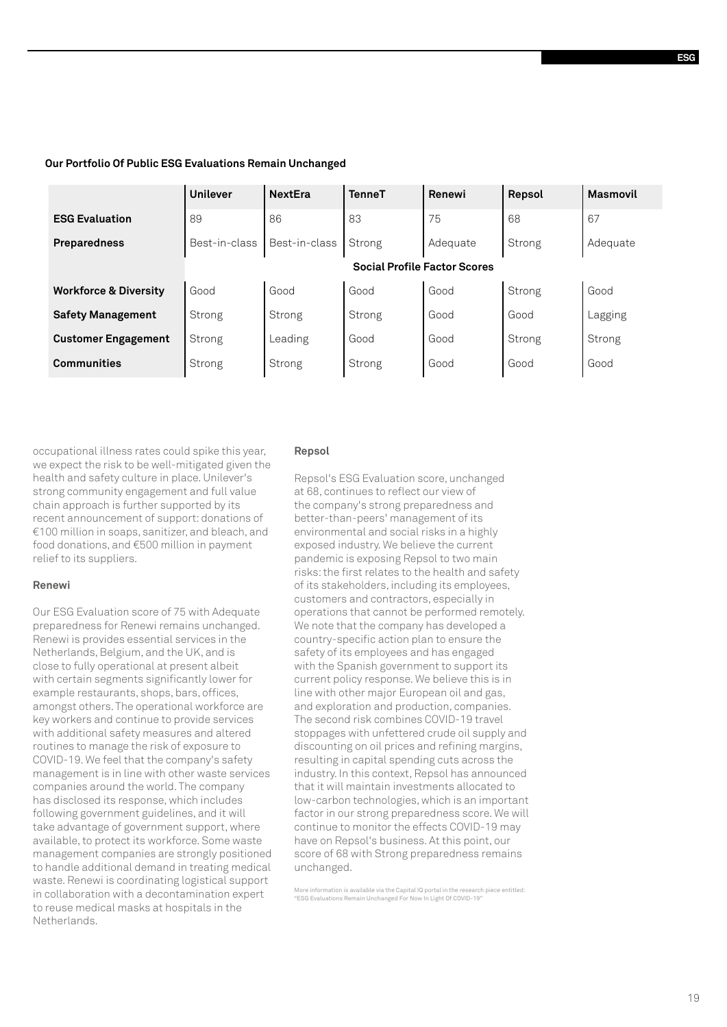|                                  | <b>Unilever</b>                     | <b>NextEra</b> | <b>TenneT</b> | Renewi   | Repsol | <b>Masmovil</b> |  |
|----------------------------------|-------------------------------------|----------------|---------------|----------|--------|-----------------|--|
| <b>ESG Evaluation</b>            | 89                                  | 86             | 83            | 75       | 68     | 67              |  |
| <b>Preparedness</b>              | Best-in-class                       | Best-in-class  | Strong        | Adequate | Strong | Adequate        |  |
|                                  | <b>Social Profile Factor Scores</b> |                |               |          |        |                 |  |
| <b>Workforce &amp; Diversity</b> | Good                                | Good           | Good          | Good     | Strong | Good            |  |
| <b>Safety Management</b>         | Strong                              | Strong         | Strong        | Good     | Good   | Lagging         |  |
| <b>Customer Engagement</b>       | Strong                              | Leading        | Good          | Good     | Strong | Strong          |  |
| <b>Communities</b>               | Strong                              | Strong         | Strong        | Good     | Good   | Good            |  |
|                                  |                                     |                |               |          |        |                 |  |

### **Our Portfolio Of Public ESG Evaluations Remain Unchanged**

occupational illness rates could spike this year, we expect the risk to be well-mitigated given the health and safety culture in place. Unilever's strong community engagement and full value chain approach is further supported by its recent announcement of support: donations of €100 million in soaps, sanitizer, and bleach, and food donations, and €500 million in payment relief to its suppliers.

### **Renewi**

Our ESG Evaluation score of 75 with Adequate preparedness for Renewi remains unchanged. Renewi is provides essential services in the Netherlands, Belgium, and the UK, and is close to fully operational at present albeit with certain segments significantly lower for example restaurants, shops, bars, offices, amongst others. The operational workforce are key workers and continue to provide services with additional safety measures and altered routines to manage the risk of exposure to COVID-19. We feel that the company's safety management is in line with other waste services companies around the world. The company has disclosed its response, which includes following government guidelines, and it will take advantage of government support, where available, to protect its workforce. Some waste management companies are strongly positioned to handle additional demand in treating medical waste. Renewi is coordinating logistical support in collaboration with a decontamination expert to reuse medical masks at hospitals in the Netherlands.

### **Repsol**

Repsol's ESG Evaluation score, unchanged at 68, continues to reflect our view of the company's strong preparedness and better-than-peers' management of its environmental and social risks in a highly exposed industry. We believe the current pandemic is exposing Repsol to two main risks: the first relates to the health and safety of its stakeholders, including its employees, customers and contractors, especially in operations that cannot be performed remotely. We note that the company has developed a country-specific action plan to ensure the safety of its employees and has engaged with the Spanish government to support its current policy response. We believe this is in line with other major European oil and gas, and exploration and production, companies. The second risk combines COVID-19 travel stoppages with unfettered crude oil supply and discounting on oil prices and refining margins, resulting in capital spending cuts across the industry. In this context, Repsol has announced that it will maintain investments allocated to low-carbon technologies, which is an important factor in our strong preparedness score. We will continue to monitor the effects COVID-19 may have on Repsol's business. At this point, our score of 68 with Strong preparedness remains unchanged.

More information is available via the Capital IQ portal in the research piece entitled: "ESG Evaluations Remain Unchanged For Now In Light Of COVID-19"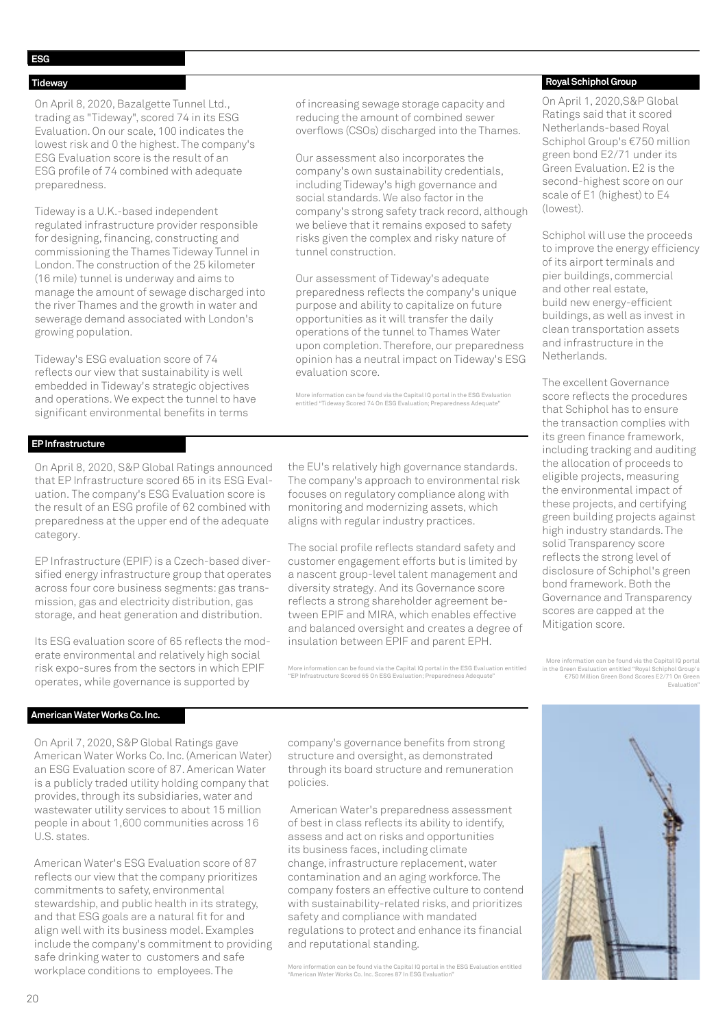### **Tideway**

On April 8, 2020, Bazalgette Tunnel Ltd., trading as "Tideway", scored 74 in its ESG Evaluation. On our scale, 100 indicates the lowest risk and 0 the highest. The company's ESG Evaluation score is the result of an ESG profile of 74 combined with adequate preparedness.

Tideway is a U.K.-based independent regulated infrastructure provider responsible for designing, financing, constructing and commissioning the Thames Tideway Tunnel in London. The construction of the 25 kilometer (16 mile) tunnel is underway and aims to manage the amount of sewage discharged into the river Thames and the growth in water and sewerage demand associated with London's growing population.

Tideway's ESG evaluation score of 74 reflects our view that sustainability is well embedded in Tideway's strategic objectives and operations. We expect the tunnel to have significant environmental benefits in terms

of increasing sewage storage capacity and reducing the amount of combined sewer overflows (CSOs) discharged into the Thames.

Our assessment also incorporates the company's own sustainability credentials, including Tideway's high governance and social standards. We also factor in the company's strong safety track record, although we believe that it remains exposed to safety risks given the complex and risky nature of tunnel construction.

Our assessment of Tideway's adequate preparedness reflects the company's unique purpose and ability to capitalize on future opportunities as it will transfer the daily operations of the tunnel to Thames Water upon completion. Therefore, our preparedness opinion has a neutral impact on Tideway's ESG evaluation score.

More information can be found via the Capital IQ portal in the ESG Evaluation entitled "Tideway Scored 74 On ESG Evaluation; Preparedness Adequate"

### **EP Infrastructure**

On April 8, 2020, S&P Global Ratings announced that EP Infrastructure scored 65 in its ESG Evaluation. The company's ESG Evaluation score is the result of an ESG profile of 62 combined with preparedness at the upper end of the adequate category.

EP Infrastructure (EPIF) is a Czech-based diversified energy infrastructure group that operates across four core business segments: gas transmission, gas and electricity distribution, gas storage, and heat generation and distribution.

Its ESG evaluation score of 65 reflects the moderate environmental and relatively high social risk expo-sures from the sectors in which EPIF operates, while governance is supported by

the EU's relatively high governance standards. The company's approach to environmental risk focuses on regulatory compliance along with monitoring and modernizing assets, which aligns with regular industry practices.

The social profile reflects standard safety and customer engagement efforts but is limited by a nascent group-level talent management and diversity strategy. And its Governance score reflects a strong shareholder agreement between EPIF and MIRA, which enables effective and balanced oversight and creates a degree of insulation between EPIF and parent EPH.

More information can be found via the Capital IQ portal in the ESG Evaluation entitled "EP Infrastructure Scored 65 On ESG Evaluation; Preparedness Adequate"

### **Royal Schiphol Group**

On April 1, 2020,S&P Global Ratings said that it scored Netherlands-based Royal Schiphol Group's €750 million green bond E2/71 under its Green Evaluation. E2 is the second-highest score on our scale of E1 (highest) to E4 (lowest).

Schiphol will use the proceeds to improve the energy efficiency of its airport terminals and pier buildings, commercial and other real estate, build new energy-efficient buildings, as well as invest in clean transportation assets and infrastructure in the Netherlands.

The excellent Governance score reflects the procedures that Schiphol has to ensure the transaction complies with its green finance framework, including tracking and auditing the allocation of proceeds to eligible projects, measuring the environmental impact of these projects, and certifying green building projects against high industry standards. The solid Transparency score reflects the strong level of disclosure of Schiphol's green bond framework. Both the Governance and Transparency scores are capped at the Mitigation score.

More information can be found via the Capital IQ portal in the Green Evaluation entitled "Royal Schiphol Group's €750 Million Green Bond Scores E2/71 On Green Evaluation"

### **American Water Works Co. Inc.**

On April 7, 2020, S&P Global Ratings gave American Water Works Co. Inc. (American Water) an ESG Evaluation score of 87. American Water is a publicly traded utility holding company that provides, through its subsidiaries, water and wastewater utility services to about 15 million people in about 1,600 communities across 16 U.S. states.

American Water's ESG Evaluation score of 87 reflects our view that the company prioritizes commitments to safety, environmental stewardship, and public health in its strategy, and that ESG goals are a natural fit for and align well with its business model. Examples include the company's commitment to providing safe drinking water to customers and safe workplace conditions to employees. The

company's governance benefits from strong structure and oversight, as demonstrated through its board structure and remuneration policies.

 American Water's preparedness assessment of best in class reflects its ability to identify, assess and act on risks and opportunities its business faces, including climate change, infrastructure replacement, water contamination and an aging workforce. The company fosters an effective culture to contend with sustainability-related risks, and prioritizes safety and compliance with mandated regulations to protect and enhance its financial and reputational standing.

More information can be found via the Capital IQ portal in the ESG Evaluation entitled "American Water Works Co. Inc. Scores 87 In ESG Evaluation"

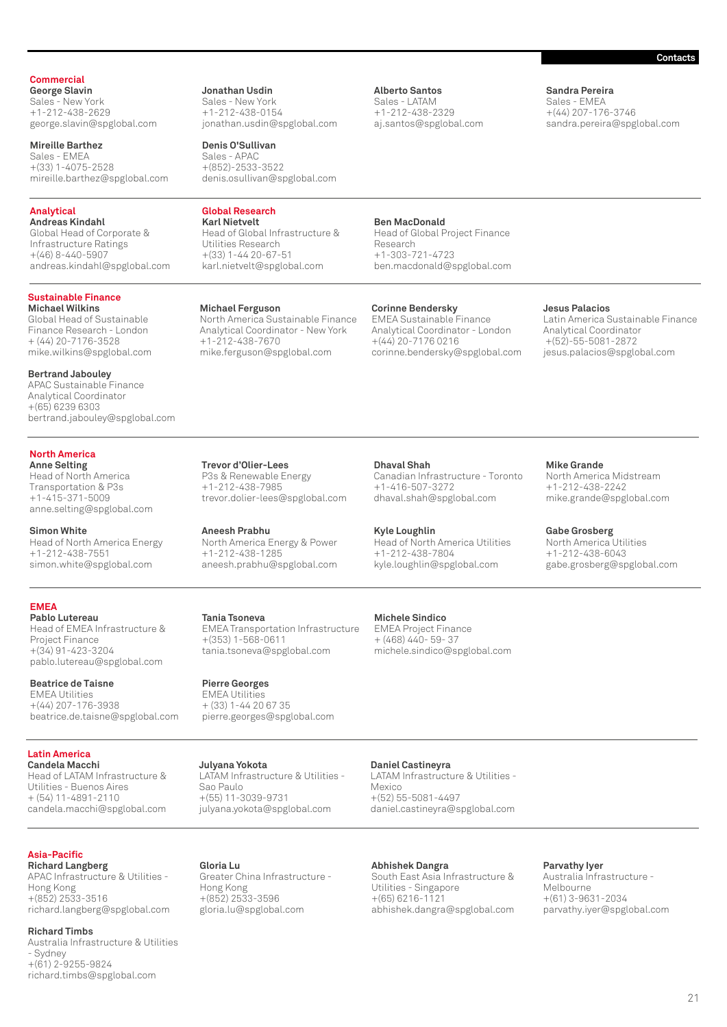### **Commercial**

**George Slavin** Sales - New York +1-212-438-2629 george.slavin@spglobal.com

**Mireille Barthez** Sales - EMEA +(33) 1-4075-2528 mireille.barthez@spglobal.com

### **Analytical**

**Andreas Kindahl** Global Head of Corporate & Infrastructure Ratings +(46) 8-440-5907 andreas.kindahl@spglobal.com

### **Sustainable Finance**

**Michael Wilkins** Global Head of Sustainable Finance Research - London + (44) 20-7176-3528 mike.wilkins@spglobal.com

**Bertrand Jabouley**  APAC Sustainable Finance Analytical Coordinator +(65) 6239 6303 bertrand.jabouley@spglobal.com

### **North America**

**Anne Selting** Head of North America Transportation & P3s +1-415-371-5009 anne.selting@spglobal.com

**Simon White** Head of North America Energy +1-212-438-7551 simon.white@spglobal.com

**EMEA**

**Pablo Lutereau** Head of EMEA Infrastructure & Project Finance +(34) 91-423-3204 pablo.lutereau@spglobal.com

**Beatrice de Taisne** EMEA Utilities +(44) 207-176-3938 beatrice.de.taisne@spglobal.com

**Latin America**

**Candela Macchi** Head of LATAM Infrastructure & Utilities - Buenos Aires  $+$  (54) 11-4891-2110 candela.macchi@spglobal.com

**Asia-Pacific**

**Richard Langberg** APAC Infrastructure & Utilities - Hong Kong +(852) 2533-3516 richard.langberg@spglobal.com

**Richard Timbs** Australia Infrastructure & Utilities - Sydney +(61) 2-9255-9824 richard.timbs@spglobal.com

**Jonathan Usdin** Sales - New York +1-212-438-0154 jonathan.usdin@spglobal.com

**Denis O'Sullivan** Sales - APAC +(852)-2533-3522 denis.osullivan@spglobal.com

### **Global Research Karl Nietvelt**

Head of Global Infrastructure & Utilities Research +(33) 1-44 20-67-51 karl.nietvelt@spglobal.com

**Michael Ferguson** North America Sustainable Finance Analytical Coordinator - New York +1-212-438-7670 mike.ferguson@spglobal.com

### **Ben MacDonald**

**Alberto Santos** Sales - LATAM +1-212-438-2329 aj.santos@spglobal.com

Head of Global Project Finance Research +1-303-721-4723 ben.macdonald@spglobal.com

### **Corinne Bendersky**

**Dhaval Shah**

**Kyle Loughlin**

+1-416-507-3272 dhaval.shah@spglobal.com

+1-212-438-7804

**Michele Sindico** EMEA Project Finance + (468) 440- 59- 37

**Daniel Castineyra**

Mexico

EMEA Sustainable Finance Analytical Coordinator - London +(44) 20-7176 0216 corinne.bendersky@spglobal.com

Canadian Infrastructure - Toronto

Head of North America Utilities

michele.sindico@spglobal.com

kyle.loughlin@spglobal.com

### **Jesus Palacios**

**Sandra Pereira** Sales - EMEA +(44) 207-176-3746 sandra.pereira@spglobal.com

Latin America Sustainable Finance Analytical Coordinator +(52)-55-5081-2872 jesus.palacios@spglobal.com

**Trevor d'Olier-Lees** P3s & Renewable Energy +1-212-438-7985 trevor.dolier-lees@spglobal.com

**Aneesh Prabhu** North America Energy & Power +1-212-438-1285 aneesh.prabhu@spglobal.com

**Tania Tsoneva** EMEA Transportation Infrastructure +(353) 1-568-0611 tania.tsoneva@spglobal.com

**Pierre Georges** EMEA Utilities + (33) 1-44 20 67 35 pierre.georges@spglobal.com

**Julyana Yokota** LATAM Infrastructure & Utilities - Sao Paulo +(55) 11-3039-9731 julyana.yokota@spglobal.com

Greater China Infrastructure -

**Gloria Lu**

Hong Kong +(852) 2533-3596 gloria.lu@spglobal.com

+(52) 55-5081-4497 daniel.castineyra@spglobal.com

> **Abhishek Dangra** South East Asia Infrastructure & Utilities - Singapore +(65) 6216-1121 abhishek.dangra@spglobal.com

LATAM Infrastructure & Utilities -

**Mike Grande**

North America Midstream +1-212-438-2242 mike.grande@spglobal.com

**Gabe Grosberg** North America Utilities +1-212-438-6043 gabe.grosberg@spglobal.com

**Parvathy Iyer** Australia Infrastructure - Melbourne +(61) 3-9631-2034 parvathy.iyer@spglobal.com